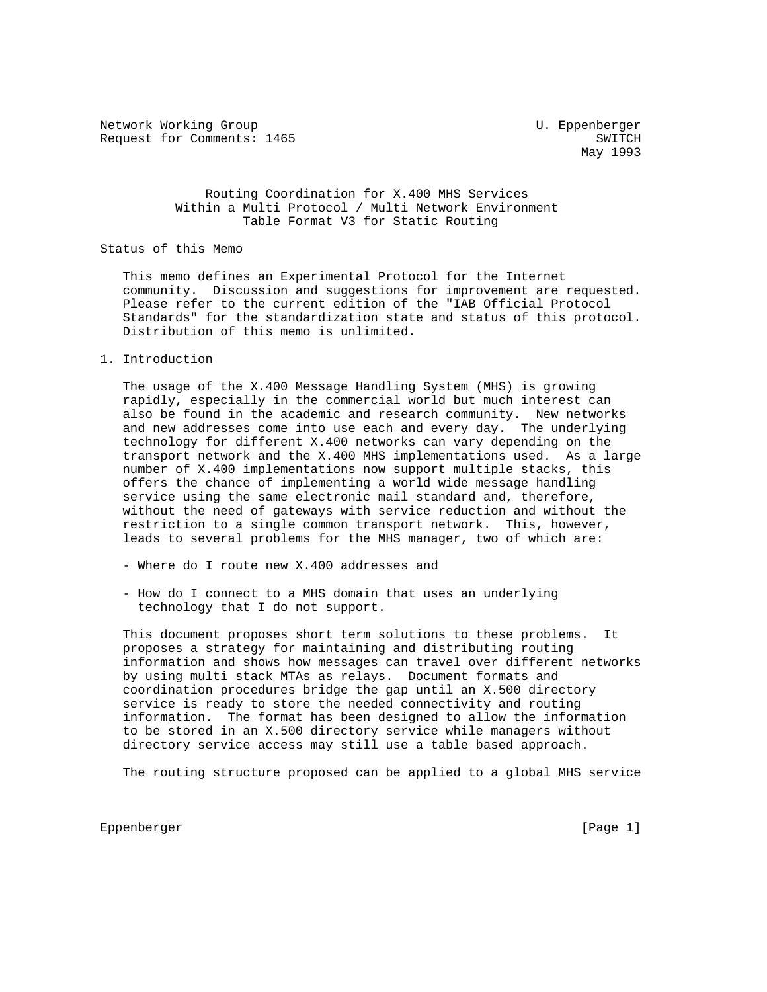Network Working Group and Monthlythe Communications of the U. Eppenberger Request for Comments: 1465 SWITCH

May 1993

# Routing Coordination for X.400 MHS Services Within a Multi Protocol / Multi Network Environment Table Format V3 for Static Routing

# Status of this Memo

 This memo defines an Experimental Protocol for the Internet community. Discussion and suggestions for improvement are requested. Please refer to the current edition of the "IAB Official Protocol Standards" for the standardization state and status of this protocol. Distribution of this memo is unlimited.

1. Introduction

 The usage of the X.400 Message Handling System (MHS) is growing rapidly, especially in the commercial world but much interest can also be found in the academic and research community. New networks and new addresses come into use each and every day. The underlying technology for different X.400 networks can vary depending on the transport network and the X.400 MHS implementations used. As a large number of X.400 implementations now support multiple stacks, this offers the chance of implementing a world wide message handling service using the same electronic mail standard and, therefore, without the need of gateways with service reduction and without the restriction to a single common transport network. This, however, leads to several problems for the MHS manager, two of which are:

- Where do I route new X.400 addresses and
- How do I connect to a MHS domain that uses an underlying technology that I do not support.

 This document proposes short term solutions to these problems. It proposes a strategy for maintaining and distributing routing information and shows how messages can travel over different networks by using multi stack MTAs as relays. Document formats and coordination procedures bridge the gap until an X.500 directory service is ready to store the needed connectivity and routing information. The format has been designed to allow the information to be stored in an X.500 directory service while managers without directory service access may still use a table based approach.

The routing structure proposed can be applied to a global MHS service

Eppenberger [Page 1]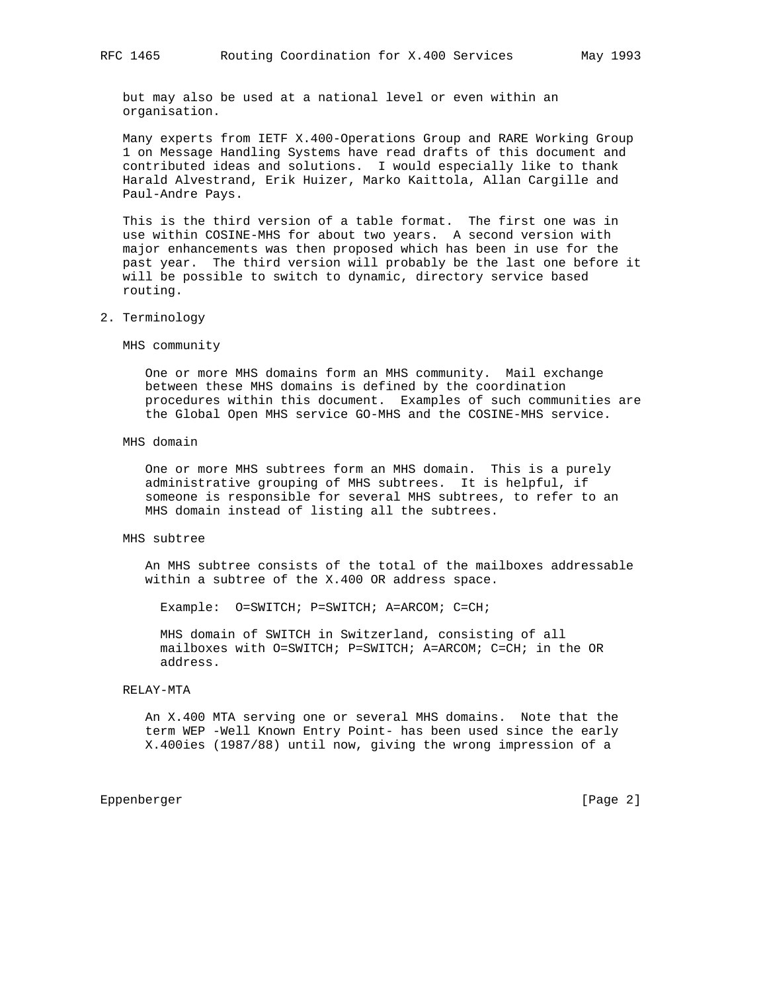but may also be used at a national level or even within an organisation.

 Many experts from IETF X.400-Operations Group and RARE Working Group 1 on Message Handling Systems have read drafts of this document and contributed ideas and solutions. I would especially like to thank Harald Alvestrand, Erik Huizer, Marko Kaittola, Allan Cargille and Paul-Andre Pays.

 This is the third version of a table format. The first one was in use within COSINE-MHS for about two years. A second version with major enhancements was then proposed which has been in use for the past year. The third version will probably be the last one before it will be possible to switch to dynamic, directory service based routing.

2. Terminology

MHS community

 One or more MHS domains form an MHS community. Mail exchange between these MHS domains is defined by the coordination procedures within this document. Examples of such communities are the Global Open MHS service GO-MHS and the COSINE-MHS service.

MHS domain

 One or more MHS subtrees form an MHS domain. This is a purely administrative grouping of MHS subtrees. It is helpful, if someone is responsible for several MHS subtrees, to refer to an MHS domain instead of listing all the subtrees.

### MHS subtree

 An MHS subtree consists of the total of the mailboxes addressable within a subtree of the X.400 OR address space.

Example: O=SWITCH; P=SWITCH; A=ARCOM; C=CH;

 MHS domain of SWITCH in Switzerland, consisting of all mailboxes with O=SWITCH; P=SWITCH; A=ARCOM; C=CH; in the OR address.

#### RELAY-MTA

 An X.400 MTA serving one or several MHS domains. Note that the term WEP -Well Known Entry Point- has been used since the early X.400ies (1987/88) until now, giving the wrong impression of a

Eppenberger [Page 2]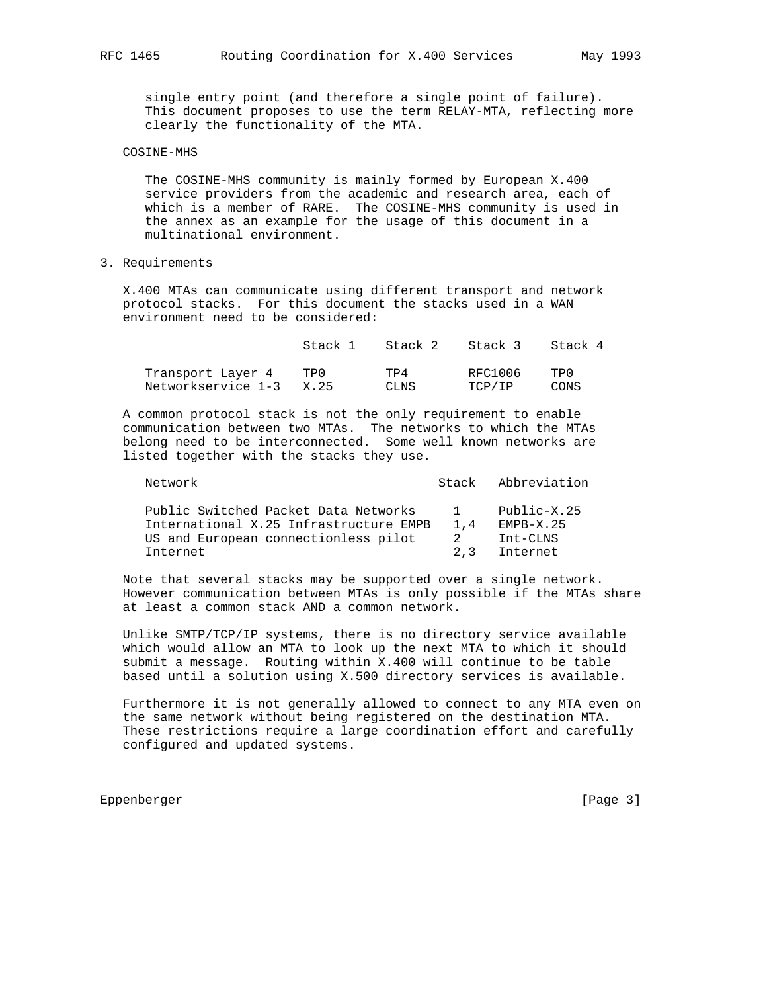single entry point (and therefore a single point of failure). This document proposes to use the term RELAY-MTA, reflecting more clearly the functionality of the MTA.

## COSINE-MHS

 The COSINE-MHS community is mainly formed by European X.400 service providers from the academic and research area, each of which is a member of RARE. The COSINE-MHS community is used in the annex as an example for the usage of this document in a multinational environment.

### 3. Requirements

 X.400 MTAs can communicate using different transport and network protocol stacks. For this document the stacks used in a WAN environment need to be considered:

|                    | Stack 1 | Stack 2 | Stack 3 | Stack 4 |
|--------------------|---------|---------|---------|---------|
| Transport Layer 4  | TP0     | TP4     | RFC1006 | TPN.    |
| Networkservice 1-3 | X. 25   | CLNS    | TCP/IP  | CONS    |

 A common protocol stack is not the only requirement to enable communication between two MTAs. The networks to which the MTAs belong need to be interconnected. Some well known networks are listed together with the stacks they use.

| Network                                                                        |                     | Stack Abbreviation         |
|--------------------------------------------------------------------------------|---------------------|----------------------------|
| Public Switched Packet Data Networks<br>International X.25 Infrastructure EMPB | $\mathbf{1}$<br>1.4 | Public-X.25<br>$EMPB-X.25$ |
| US and European connectionless pilot                                           | 2                   | Int-CLNS                   |
| Internet                                                                       | 2.3                 | Internet                   |

 Note that several stacks may be supported over a single network. However communication between MTAs is only possible if the MTAs share at least a common stack AND a common network.

 Unlike SMTP/TCP/IP systems, there is no directory service available which would allow an MTA to look up the next MTA to which it should submit a message. Routing within X.400 will continue to be table based until a solution using X.500 directory services is available.

 Furthermore it is not generally allowed to connect to any MTA even on the same network without being registered on the destination MTA. These restrictions require a large coordination effort and carefully configured and updated systems.

Eppenberger [Page 3]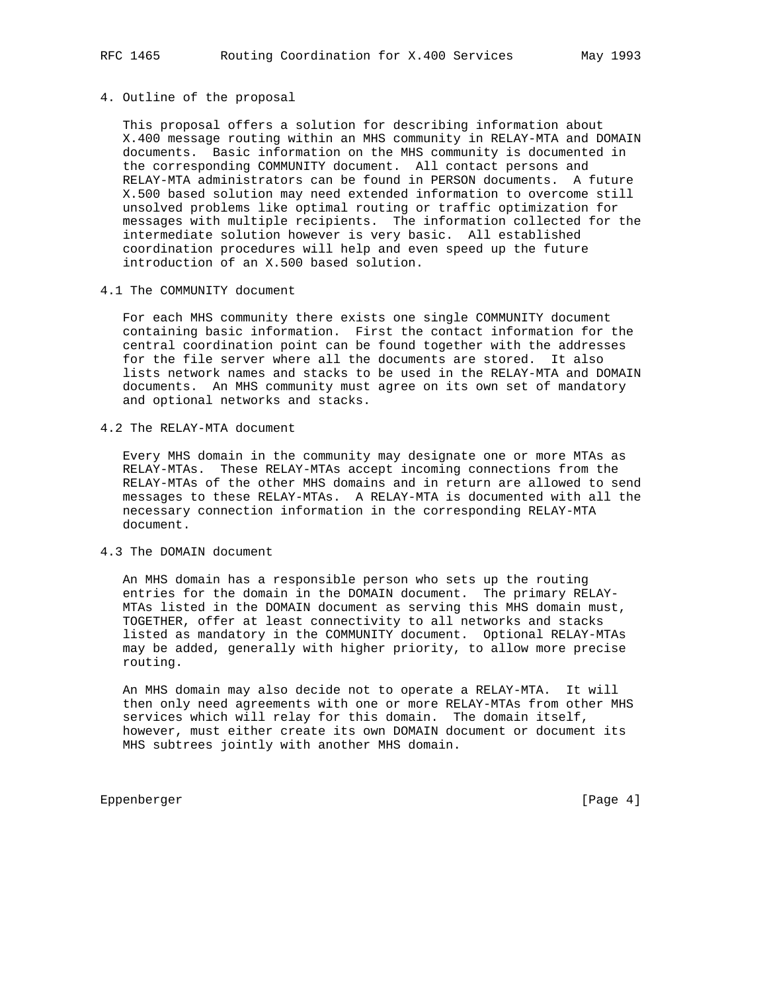# 4. Outline of the proposal

 This proposal offers a solution for describing information about X.400 message routing within an MHS community in RELAY-MTA and DOMAIN documents. Basic information on the MHS community is documented in the corresponding COMMUNITY document. All contact persons and RELAY-MTA administrators can be found in PERSON documents. A future X.500 based solution may need extended information to overcome still unsolved problems like optimal routing or traffic optimization for messages with multiple recipients. The information collected for the intermediate solution however is very basic. All established coordination procedures will help and even speed up the future introduction of an X.500 based solution.

### 4.1 The COMMUNITY document

 For each MHS community there exists one single COMMUNITY document containing basic information. First the contact information for the central coordination point can be found together with the addresses for the file server where all the documents are stored. It also lists network names and stacks to be used in the RELAY-MTA and DOMAIN documents. An MHS community must agree on its own set of mandatory and optional networks and stacks.

4.2 The RELAY-MTA document

 Every MHS domain in the community may designate one or more MTAs as RELAY-MTAs. These RELAY-MTAs accept incoming connections from the RELAY-MTAs of the other MHS domains and in return are allowed to send messages to these RELAY-MTAs. A RELAY-MTA is documented with all the necessary connection information in the corresponding RELAY-MTA document.

## 4.3 The DOMAIN document

 An MHS domain has a responsible person who sets up the routing entries for the domain in the DOMAIN document. The primary RELAY- MTAs listed in the DOMAIN document as serving this MHS domain must, TOGETHER, offer at least connectivity to all networks and stacks listed as mandatory in the COMMUNITY document. Optional RELAY-MTAs may be added, generally with higher priority, to allow more precise routing.

 An MHS domain may also decide not to operate a RELAY-MTA. It will then only need agreements with one or more RELAY-MTAs from other MHS services which will relay for this domain. The domain itself, however, must either create its own DOMAIN document or document its MHS subtrees jointly with another MHS domain.

Eppenberger [Page 4]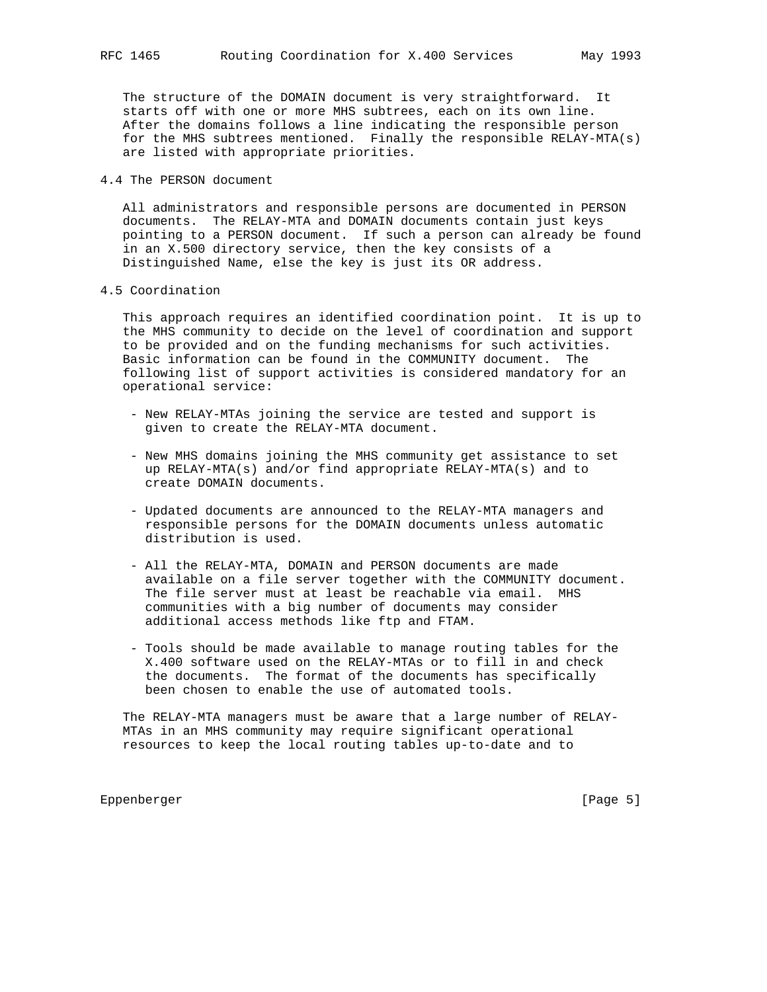The structure of the DOMAIN document is very straightforward. It starts off with one or more MHS subtrees, each on its own line. After the domains follows a line indicating the responsible person for the MHS subtrees mentioned. Finally the responsible RELAY-MTA(s) are listed with appropriate priorities.

4.4 The PERSON document

 All administrators and responsible persons are documented in PERSON documents. The RELAY-MTA and DOMAIN documents contain just keys pointing to a PERSON document. If such a person can already be found in an X.500 directory service, then the key consists of a Distinguished Name, else the key is just its OR address.

#### 4.5 Coordination

 This approach requires an identified coordination point. It is up to the MHS community to decide on the level of coordination and support to be provided and on the funding mechanisms for such activities. Basic information can be found in the COMMUNITY document. The following list of support activities is considered mandatory for an operational service:

- New RELAY-MTAs joining the service are tested and support is given to create the RELAY-MTA document.
- New MHS domains joining the MHS community get assistance to set up RELAY-MTA(s) and/or find appropriate RELAY-MTA(s) and to create DOMAIN documents.
- Updated documents are announced to the RELAY-MTA managers and responsible persons for the DOMAIN documents unless automatic distribution is used.
- All the RELAY-MTA, DOMAIN and PERSON documents are made available on a file server together with the COMMUNITY document. The file server must at least be reachable via email. MHS communities with a big number of documents may consider additional access methods like ftp and FTAM.
- Tools should be made available to manage routing tables for the X.400 software used on the RELAY-MTAs or to fill in and check the documents. The format of the documents has specifically been chosen to enable the use of automated tools.

 The RELAY-MTA managers must be aware that a large number of RELAY- MTAs in an MHS community may require significant operational resources to keep the local routing tables up-to-date and to

Eppenberger [Page 5]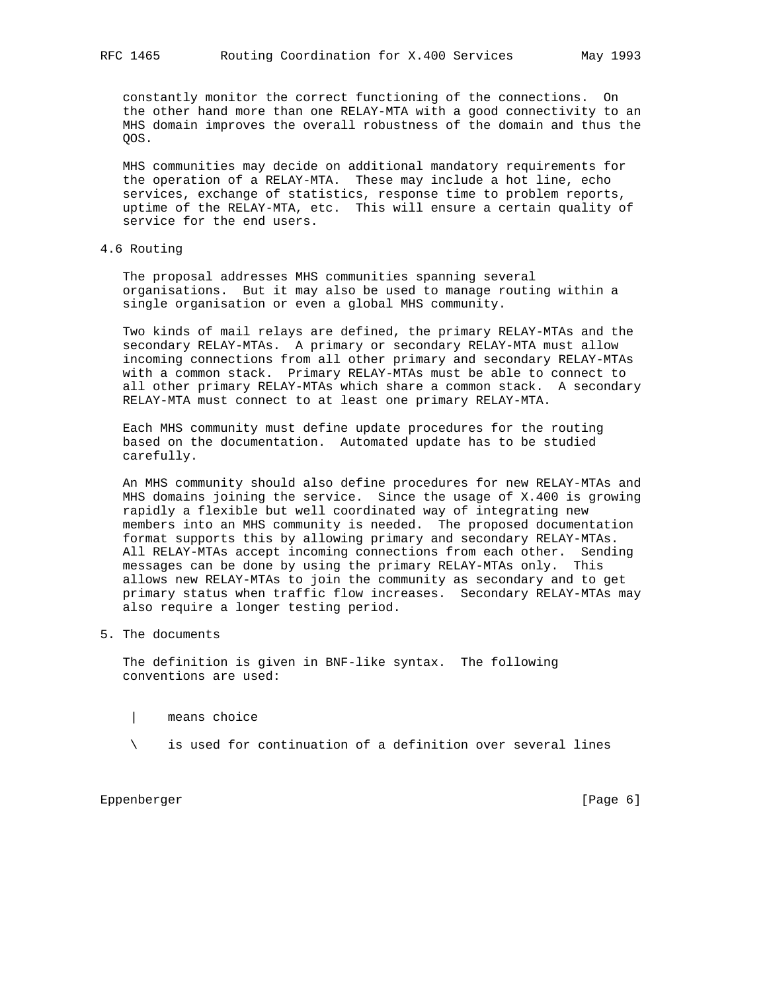constantly monitor the correct functioning of the connections. On the other hand more than one RELAY-MTA with a good connectivity to an MHS domain improves the overall robustness of the domain and thus the QOS.

 MHS communities may decide on additional mandatory requirements for the operation of a RELAY-MTA. These may include a hot line, echo services, exchange of statistics, response time to problem reports, uptime of the RELAY-MTA, etc. This will ensure a certain quality of service for the end users.

## 4.6 Routing

 The proposal addresses MHS communities spanning several organisations. But it may also be used to manage routing within a single organisation or even a global MHS community.

 Two kinds of mail relays are defined, the primary RELAY-MTAs and the secondary RELAY-MTAs. A primary or secondary RELAY-MTA must allow incoming connections from all other primary and secondary RELAY-MTAs with a common stack. Primary RELAY-MTAs must be able to connect to all other primary RELAY-MTAs which share a common stack. A secondary RELAY-MTA must connect to at least one primary RELAY-MTA.

 Each MHS community must define update procedures for the routing based on the documentation. Automated update has to be studied carefully.

 An MHS community should also define procedures for new RELAY-MTAs and MHS domains joining the service. Since the usage of X.400 is growing rapidly a flexible but well coordinated way of integrating new members into an MHS community is needed. The proposed documentation format supports this by allowing primary and secondary RELAY-MTAs. All RELAY-MTAs accept incoming connections from each other. Sending messages can be done by using the primary RELAY-MTAs only. This allows new RELAY-MTAs to join the community as secondary and to get primary status when traffic flow increases. Secondary RELAY-MTAs may also require a longer testing period.

## 5. The documents

 The definition is given in BNF-like syntax. The following conventions are used:

- | means choice
- \ is used for continuation of a definition over several lines

Eppenberger [Page 6]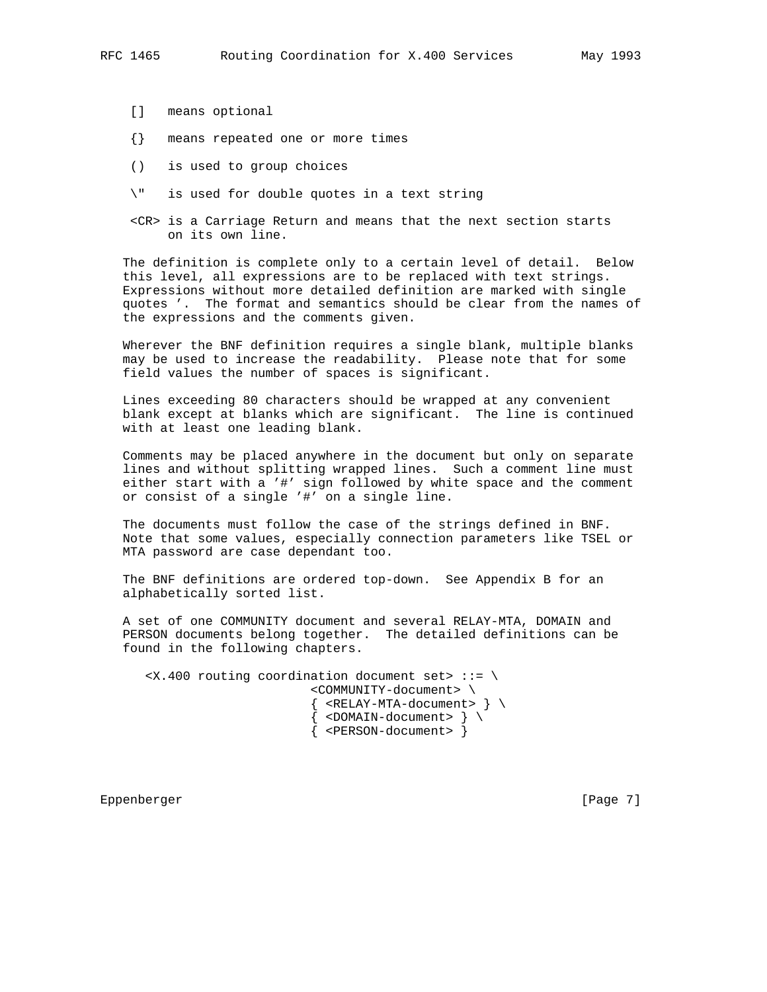- [] means optional
- {} means repeated one or more times
- () is used to group choices
- \" is used for double quotes in a text string
- <CR> is a Carriage Return and means that the next section starts on its own line.

 The definition is complete only to a certain level of detail. Below this level, all expressions are to be replaced with text strings. Expressions without more detailed definition are marked with single quotes '. The format and semantics should be clear from the names of the expressions and the comments given.

 Wherever the BNF definition requires a single blank, multiple blanks may be used to increase the readability. Please note that for some field values the number of spaces is significant.

 Lines exceeding 80 characters should be wrapped at any convenient blank except at blanks which are significant. The line is continued with at least one leading blank.

 Comments may be placed anywhere in the document but only on separate lines and without splitting wrapped lines. Such a comment line must either start with a '#' sign followed by white space and the comment or consist of a single '#' on a single line.

 The documents must follow the case of the strings defined in BNF. Note that some values, especially connection parameters like TSEL or MTA password are case dependant too.

 The BNF definitions are ordered top-down. See Appendix B for an alphabetically sorted list.

 A set of one COMMUNITY document and several RELAY-MTA, DOMAIN and PERSON documents belong together. The detailed definitions can be found in the following chapters.

 $\langle x.400$  routing coordination document set> ::= \ <COMMUNITY-document> \  $\{$  <RELAY-MTA-document>  $\}$  $\{$  <DOMAIN-document>  $\}$ { <PERSON-document> }

Eppenberger [Page 7]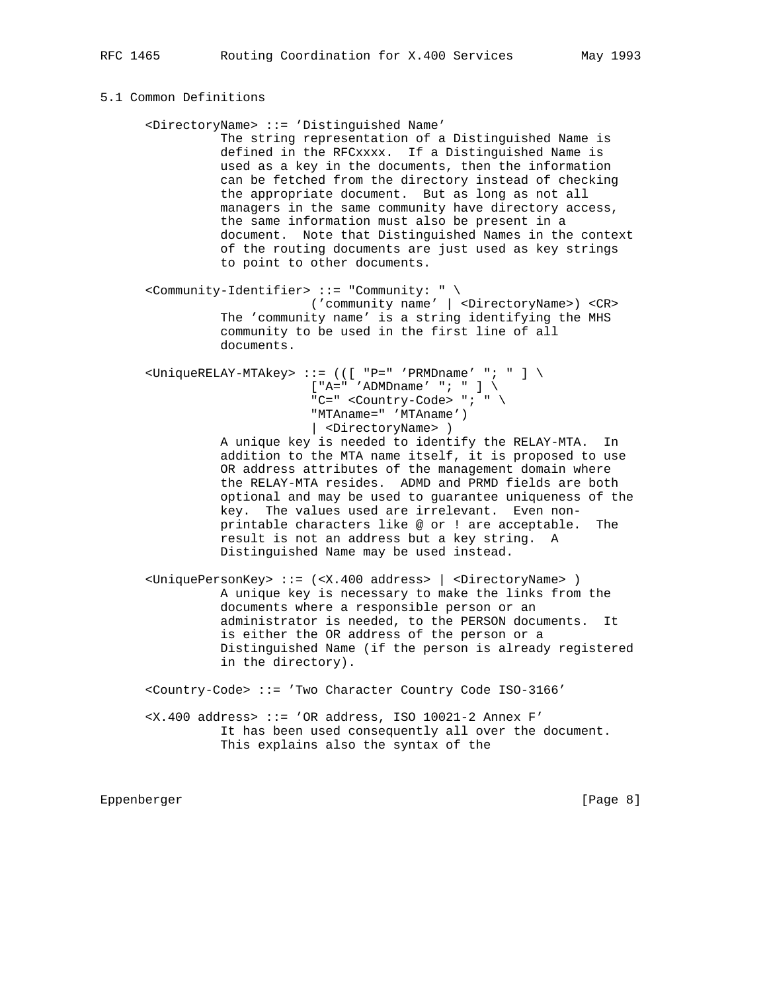## 5.1 Common Definitions

 <DirectoryName> ::= 'Distinguished Name' The string representation of a Distinguished Name is defined in the RFCxxxx. If a Distinguished Name is used as a key in the documents, then the information can be fetched from the directory instead of checking the appropriate document. But as long as not all managers in the same community have directory access, the same information must also be present in a document. Note that Distinguished Names in the context of the routing documents are just used as key strings to point to other documents. <Community-Identifier> ::= "Community: " \ ('community name' | <DirectoryName>) <CR> The 'community name' is a string identifying the MHS community to be used in the first line of all documents.  $\langle$ UniqueRELAY-MTAkey> ::= (([ "P=" 'PRMDname' "; " ] \  $[N^*A]=N^*I$  / ADMDname' "; " ] \ "C=" <Country-Code> "; " \ "MTAname=" 'MTAname') | <DirectoryName> ) A unique key is needed to identify the RELAY-MTA. In addition to the MTA name itself, it is proposed to use OR address attributes of the management domain where the RELAY-MTA resides. ADMD and PRMD fields are both optional and may be used to guarantee uniqueness of the key. The values used are irrelevant. Even non printable characters like @ or ! are acceptable. The result is not an address but a key string. A Distinguished Name may be used instead. <UniquePersonKey> ::= (<X.400 address> | <DirectoryName> )

 A unique key is necessary to make the links from the documents where a responsible person or an administrator is needed, to the PERSON documents. It is either the OR address of the person or a Distinguished Name (if the person is already registered in the directory).

<Country-Code> ::= 'Two Character Country Code ISO-3166'

 <X.400 address> ::= 'OR address, ISO 10021-2 Annex F' It has been used consequently all over the document. This explains also the syntax of the

Eppenberger [Page 8]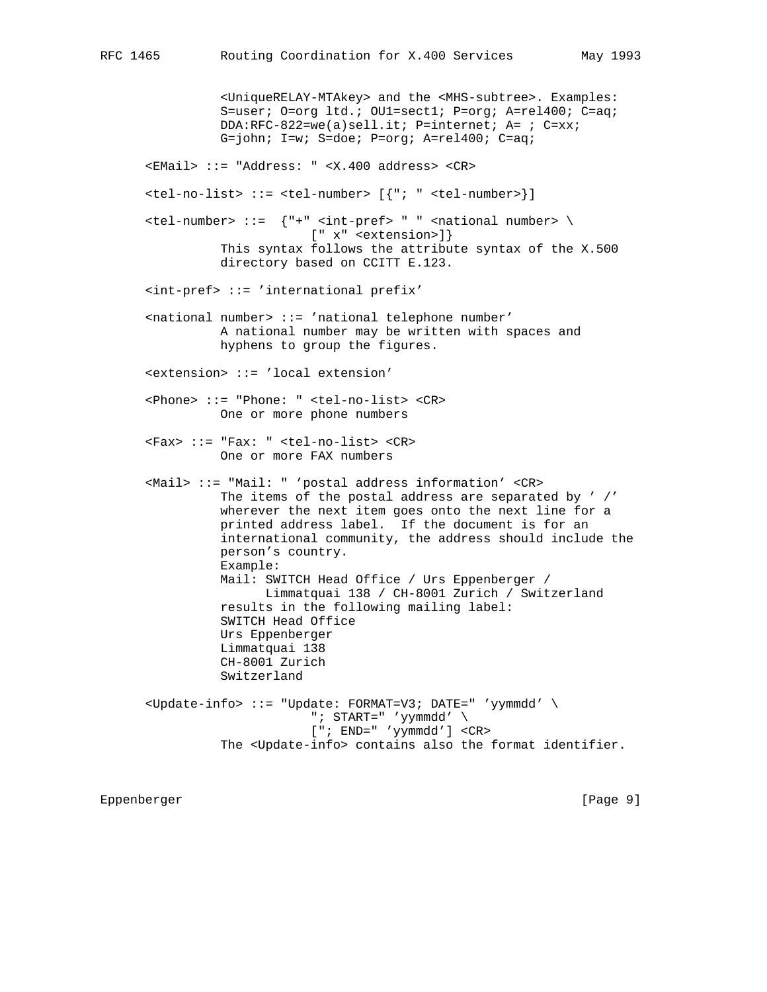<UniqueRELAY-MTAkey> and the <MHS-subtree>. Examples: S=user; O=org ltd.; OU1=sect1; P=org; A=rel400; C=aq; DDA:RFC-822=we(a)sell.it; P=internet; A= ; C=xx; G=john; I=w; S=doe; P=org; A=rel400; C=aq; <EMail> ::= "Address: " <X.400 address> <CR> <tel-no-list> ::= <tel-number> [{"; " <tel-number>}]  $\text{tel-number}$  ::=  $\{$  "+" <int-pref> " " <national number> \ [" x" <extension>]} This syntax follows the attribute syntax of the X.500 directory based on CCITT E.123. <int-pref> ::= 'international prefix' <national number> ::= 'national telephone number' A national number may be written with spaces and hyphens to group the figures. <extension> ::= 'local extension' <Phone> ::= "Phone: " <tel-no-list> <CR> One or more phone numbers <Fax> ::= "Fax: " <tel-no-list> <CR> One or more FAX numbers <Mail> ::= "Mail: " 'postal address information' <CR> The items of the postal address are separated by ' /' wherever the next item goes onto the next line for a printed address label. If the document is for an international community, the address should include the person's country. Example: Mail: SWITCH Head Office / Urs Eppenberger / Limmatquai 138 / CH-8001 Zurich / Switzerland results in the following mailing label: SWITCH Head Office Urs Eppenberger Limmatquai 138 CH-8001 Zurich Switzerland <Update-info> ::= "Update: FORMAT=V3; DATE=" 'yymmdd' \ "; START=" 'yymmdd' \ ["; END=" 'yymmdd'] <CR> The <Update-info> contains also the format identifier.

Eppenberger [Page 9]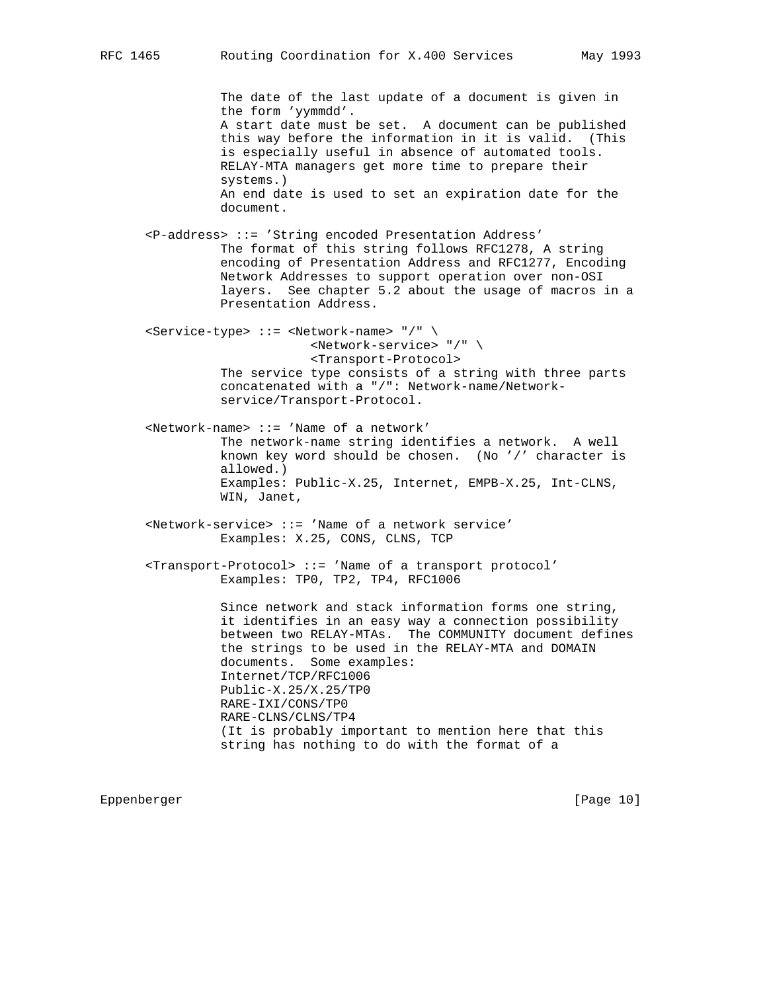The date of the last update of a document is given in the form 'yymmdd'. A start date must be set. A document can be published this way before the information in it is valid. (This is especially useful in absence of automated tools. RELAY-MTA managers get more time to prepare their systems.) An end date is used to set an expiration date for the document. <P-address> ::= 'String encoded Presentation Address' The format of this string follows RFC1278, A string encoding of Presentation Address and RFC1277, Encoding Network Addresses to support operation over non-OSI layers. See chapter 5.2 about the usage of macros in a Presentation Address. <Service-type> ::= <Network-name> "/" \ <Network-service> "/" \ <Transport-Protocol> The service type consists of a string with three parts concatenated with a "/": Network-name/Network service/Transport-Protocol. <Network-name> ::= 'Name of a network' The network-name string identifies a network. A well known key word should be chosen. (No '/' character is allowed.) Examples: Public-X.25, Internet, EMPB-X.25, Int-CLNS, WIN, Janet, <Network-service> ::= 'Name of a network service' Examples: X.25, CONS, CLNS, TCP <Transport-Protocol> ::= 'Name of a transport protocol' Examples: TP0, TP2, TP4, RFC1006 Since network and stack information forms one string, it identifies in an easy way a connection possibility between two RELAY-MTAs. The COMMUNITY document defines the strings to be used in the RELAY-MTA and DOMAIN documents. Some examples: Internet/TCP/RFC1006 Public-X.25/X.25/TP0 RARE-IXI/CONS/TP0 RARE-CLNS/CLNS/TP4 (It is probably important to mention here that this string has nothing to do with the format of a

Eppenberger [Page 10]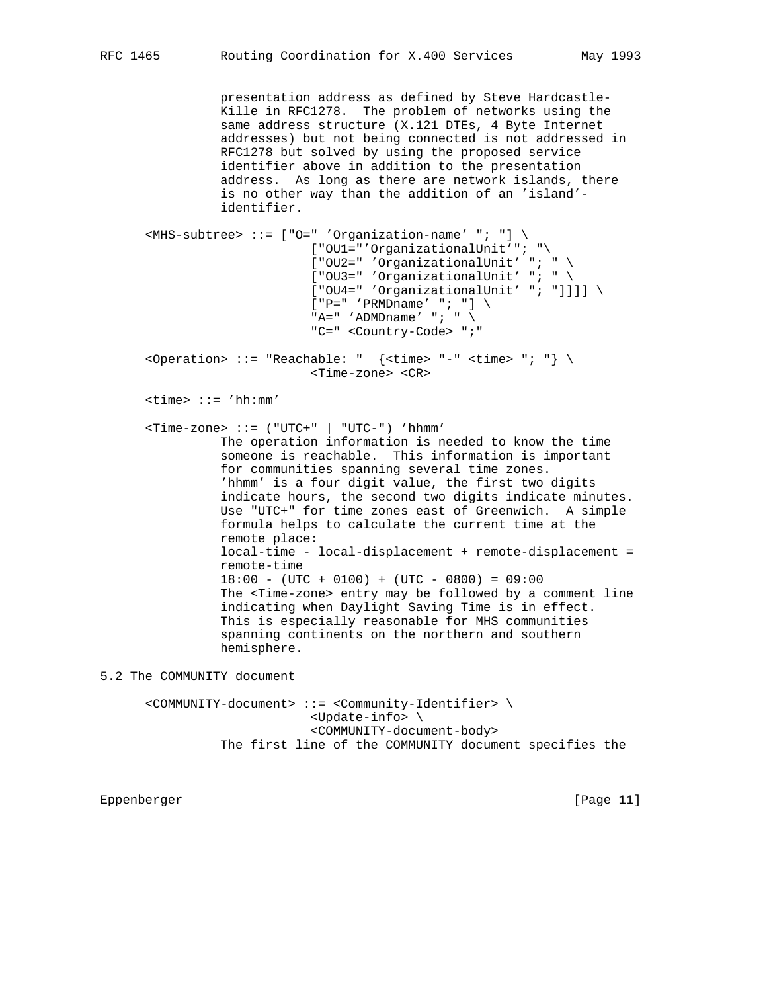presentation address as defined by Steve Hardcastle- Kille in RFC1278. The problem of networks using the same address structure (X.121 DTEs, 4 Byte Internet addresses) but not being connected is not addressed in RFC1278 but solved by using the proposed service identifier above in addition to the presentation address. As long as there are network islands, there is no other way than the addition of an 'island' identifier.

```
 <MHS-subtree> ::= ["O=" 'Organization-name' "; "] \
                        ["OU1="'OrganizationalUnit'"; "\
                       ["OU2="'' 'OrganizationalUnit' "; " \
                       [ "OU3=" 'OrganizationalUnit' "; " \
                        ["OU4=" 'OrganizationalUnit' "; "]]]] \
                       ['P=' 'PRMDname' ''; ']\ \"A=" 'ADMDname' "; " \setminus "C=" <Country-Code> ";"
<Operation> ::= "Reachable: " \{ \text{times} \; "-- \; \text{times} \; " ; "} \} \ <Time-zone> <CR>
 <time> ::= 'hh:mm'
\n  <Time-zone> ::= ("UTC+" | "UTC-") 'hhmm'
           The operation information is needed to know the time
           someone is reachable. This information is important
           for communities spanning several time zones.
           'hhmm' is a four digit value, the first two digits
           indicate hours, the second two digits indicate minutes.
           Use "UTC+" for time zones east of Greenwich. A simple
           formula helps to calculate the current time at the
           remote place:
           local-time - local-displacement + remote-displacement =
           remote-time
          18:00 - (UTC + 0100) + (UTC - 0800) = 09:00 The <Time-zone> entry may be followed by a comment line
           indicating when Daylight Saving Time is in effect.
           This is especially reasonable for MHS communities
           spanning continents on the northern and southern
           hemisphere.
```
5.2 The COMMUNITY document

 <COMMUNITY-document> ::= <Community-Identifier> \ <Update-info> \ <COMMUNITY-document-body> The first line of the COMMUNITY document specifies the

Eppenberger [Page 11]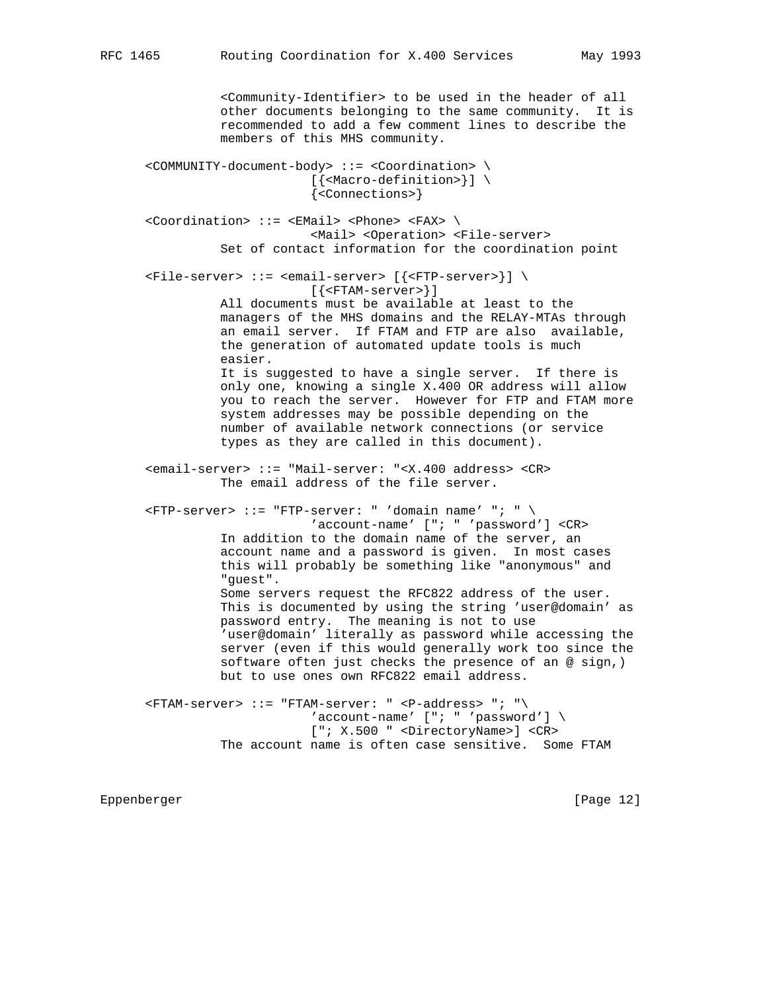<Community-Identifier> to be used in the header of all other documents belonging to the same community. It is recommended to add a few comment lines to describe the members of this MHS community. <COMMUNITY-document-body> ::= <Coordination> \ [{<Macro-definition>}] \ {<Connections>} <Coordination> ::= <EMail> <Phone> <FAX> \ <Mail> <Operation> <File-server> Set of contact information for the coordination point <File-server> ::= <email-server> [{<FTP-server>}] \ [{<FTAM-server>}] All documents must be available at least to the managers of the MHS domains and the RELAY-MTAs through an email server. If FTAM and FTP are also available, the generation of automated update tools is much easier. It is suggested to have a single server. If there is only one, knowing a single X.400 OR address will allow you to reach the server. However for FTP and FTAM more system addresses may be possible depending on the number of available network connections (or service types as they are called in this document). <email-server> ::= "Mail-server: "<X.400 address> <CR> The email address of the file server.  $\langle$ FTP-server> ::= "FTP-server: " 'domain name' "; " \ 'account-name' ["; " 'password'] <CR> In addition to the domain name of the server, an account name and a password is given. In most cases this will probably be something like "anonymous" and "guest". Some servers request the RFC822 address of the user. This is documented by using the string 'user@domain' as password entry. The meaning is not to use 'user@domain' literally as password while accessing the server (even if this would generally work too since the software often just checks the presence of an @ sign,) but to use ones own RFC822 email address.  $\langle$ FTAM-server> ::= "FTAM-server: "  $\langle$ P-address> "; " $\rangle$  $'account$ -name' ["; " 'password'] \ ["; X.500 " <DirectoryName>] <CR> The account name is often case sensitive. Some FTAM

Eppenberger [Page 12]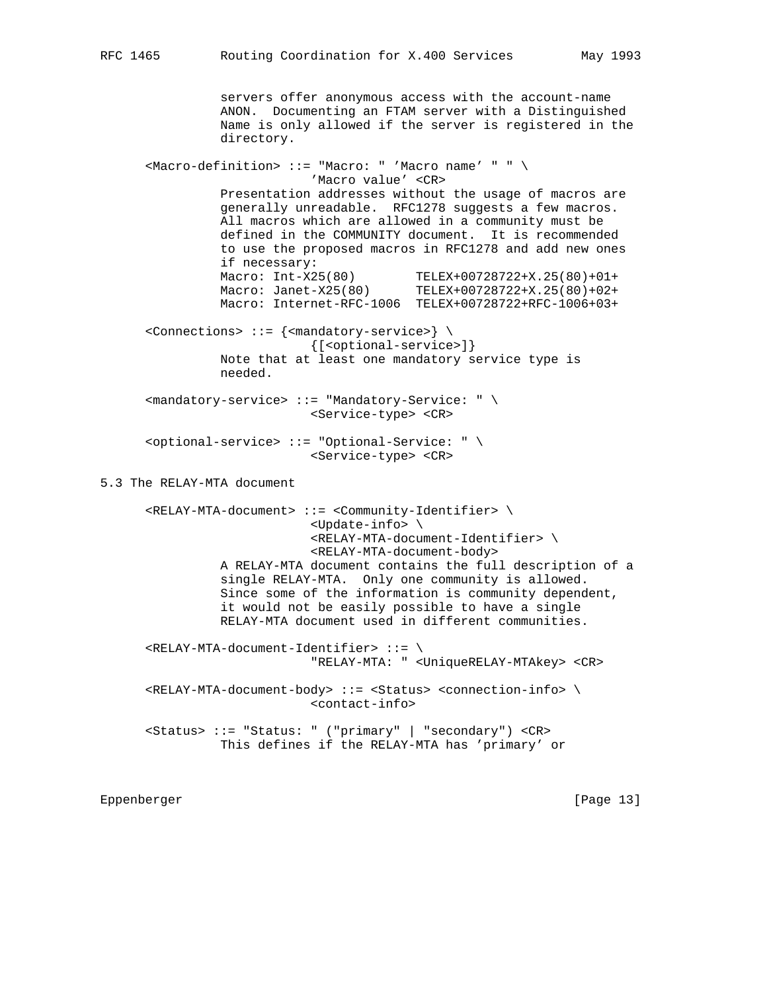servers offer anonymous access with the account-name ANON. Documenting an FTAM server with a Distinguished Name is only allowed if the server is registered in the directory. <Macro-definition> ::= "Macro: " 'Macro name' " " \ 'Macro value' <CR> Presentation addresses without the usage of macros are generally unreadable. RFC1278 suggests a few macros. All macros which are allowed in a community must be defined in the COMMUNITY document. It is recommended to use the proposed macros in RFC1278 and add new ones if necessary: Macro: Int-X25(80) TELEX+00728722+X.25(80)+01+ Macro: Janet-X25(80) TELEX+00728722+X.25(80)+02+ Macro: Internet-RFC-1006 TELEX+00728722+RFC-1006+03+ <Connections> ::= {<mandatory-service>} \ {[<optional-service>]} Note that at least one mandatory service type is needed. <mandatory-service> ::= "Mandatory-Service: " \ <Service-type> <CR> <optional-service> ::= "Optional-Service: " \ <Service-type> <CR> 5.3 The RELAY-MTA document <RELAY-MTA-document> ::= <Community-Identifier> \ <Update-info> \ <RELAY-MTA-document-Identifier> \ <RELAY-MTA-document-body> A RELAY-MTA document contains the full description of a single RELAY-MTA. Only one community is allowed. Since some of the information is community dependent, it would not be easily possible to have a single RELAY-MTA document used in different communities. <RELAY-MTA-document-Identifier> ::= \ "RELAY-MTA: " <UniqueRELAY-MTAkey> <CR> <RELAY-MTA-document-body> ::= <Status> <connection-info> \ <contact-info> <Status> ::= "Status: " ("primary" | "secondary") <CR> This defines if the RELAY-MTA has 'primary' or

Eppenberger [Page 13]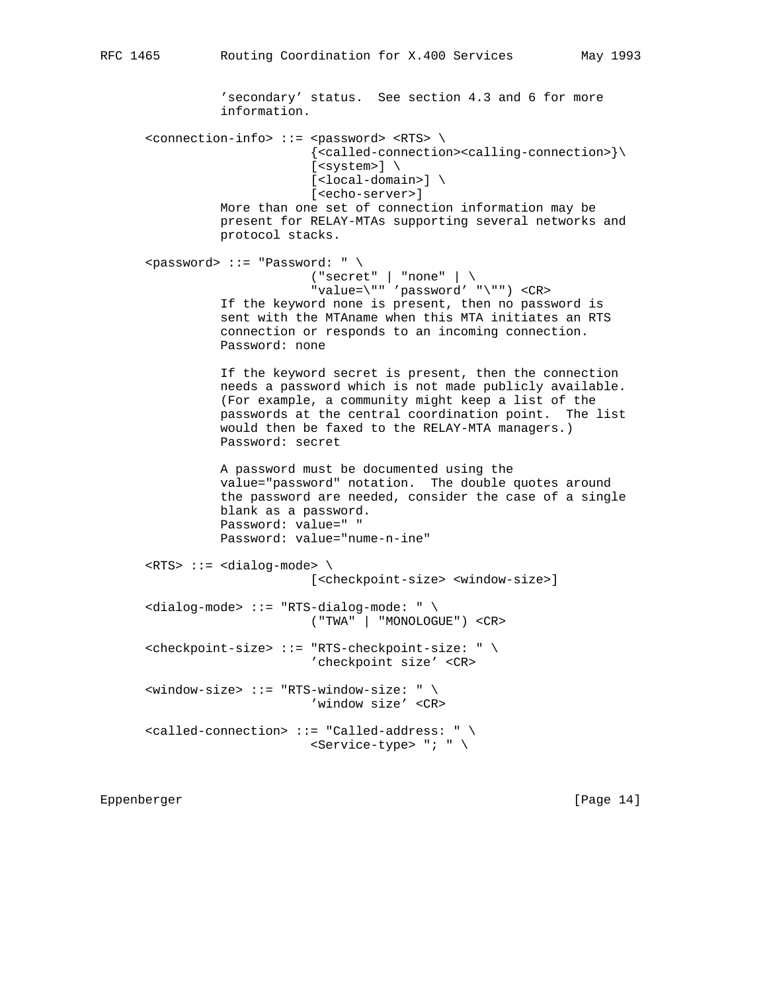'secondary' status. See section 4.3 and 6 for more information. <connection-info> ::= <password> <RTS> \ {<called-connection><calling-connection>}\  $[<$ system> $] \ \setminus$  [<local-domain>] \ [<echo-server>] More than one set of connection information may be present for RELAY-MTAs supporting several networks and protocol stacks. <password> ::= "Password: " \ ("secret" | "none" | \ "value=\"" 'password' "\"") <CR> If the keyword none is present, then no password is sent with the MTAname when this MTA initiates an RTS connection or responds to an incoming connection. Password: none If the keyword secret is present, then the connection needs a password which is not made publicly available. (For example, a community might keep a list of the passwords at the central coordination point. The list would then be faxed to the RELAY-MTA managers.) Password: secret A password must be documented using the value="password" notation. The double quotes around the password are needed, consider the case of a single blank as a password. Password: value=" " Password: value="nume-n-ine" <RTS> ::= <dialog-mode> \ [<checkpoint-size> <window-size>] <dialog-mode> ::= "RTS-dialog-mode: " \ ("TWA" | "MONOLOGUE") <CR> <checkpoint-size> ::= "RTS-checkpoint-size: " \ 'checkpoint size' <CR> <window-size> ::= "RTS-window-size: " \ 'window size' <CR> <called-connection> ::= "Called-address: " \ <Service-type> "; " \

Eppenberger [Page 14]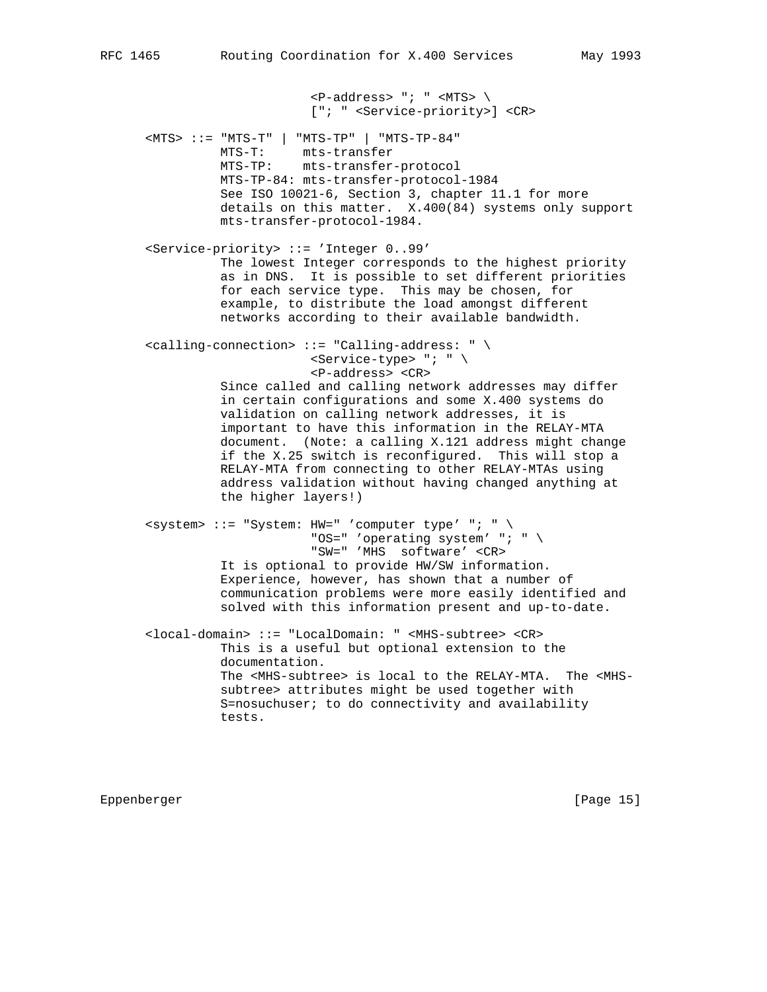$\langle P\text{-address} \rangle$  "; "  $\langle \text{MTS} \rangle$  ["; " <Service-priority>] <CR> <MTS> ::= "MTS-T" | "MTS-TP" | "MTS-TP-84" MTS-T: mts-transfer MTS-TP: mts-transfer-protocol MTS-TP-84: mts-transfer-protocol-1984 See ISO 10021-6, Section 3, chapter 11.1 for more details on this matter. X.400(84) systems only support mts-transfer-protocol-1984. <Service-priority> ::= 'Integer 0..99' The lowest Integer corresponds to the highest priority as in DNS. It is possible to set different priorities for each service type. This may be chosen, for example, to distribute the load amongst different networks according to their available bandwidth. <calling-connection> ::= "Calling-address: " \ <Service-type> "; " \ <P-address> <CR> Since called and calling network addresses may differ in certain configurations and some X.400 systems do validation on calling network addresses, it is important to have this information in the RELAY-MTA document. (Note: a calling X.121 address might change if the X.25 switch is reconfigured. This will stop a RELAY-MTA from connecting to other RELAY-MTAs using address validation without having changed anything at the higher layers!)  $\langle$ system> ::= "System: HW=" 'computer type' "; " \ "OS=" 'operating system' "; " \ "SW=" 'MHS software' <CR> It is optional to provide HW/SW information. Experience, however, has shown that a number of communication problems were more easily identified and solved with this information present and up-to-date. <local-domain> ::= "LocalDomain: " <MHS-subtree> <CR> This is a useful but optional extension to the documentation. The <MHS-subtree> is local to the RELAY-MTA. The <MHS subtree> attributes might be used together with S=nosuchuser; to do connectivity and availability tests.

Eppenberger [Page 15]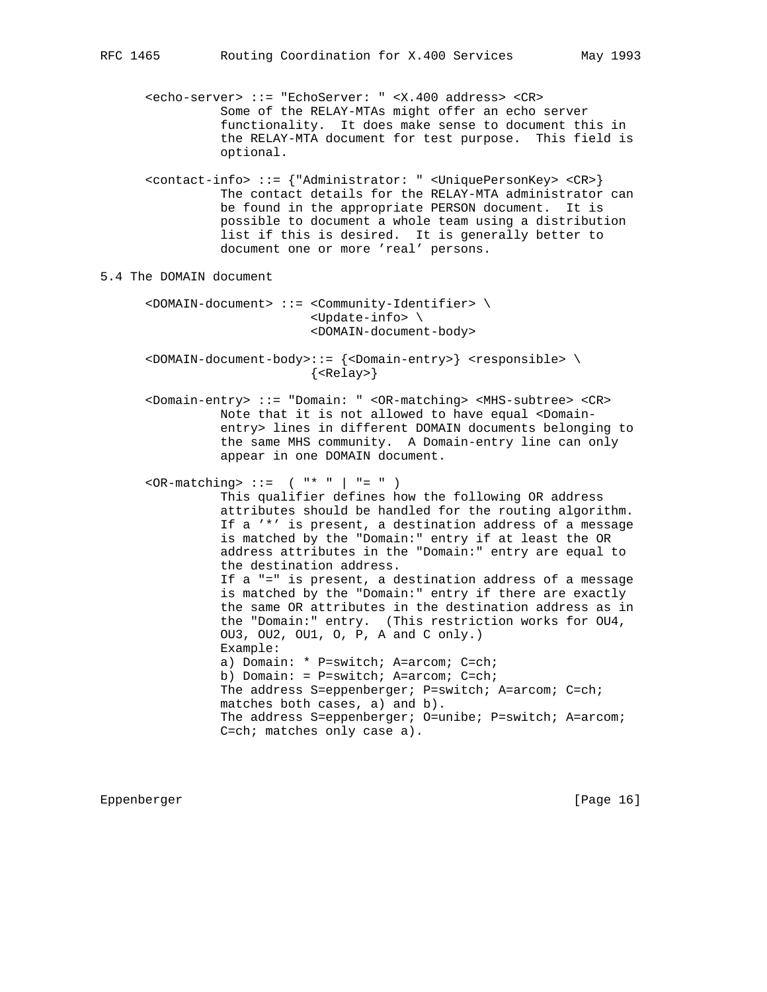<echo-server> ::= "EchoServer: " <X.400 address> <CR> Some of the RELAY-MTAs might offer an echo server functionality. It does make sense to document this in the RELAY-MTA document for test purpose. This field is optional.

 <contact-info> ::= {"Administrator: " <UniquePersonKey> <CR>} The contact details for the RELAY-MTA administrator can be found in the appropriate PERSON document. It is possible to document a whole team using a distribution list if this is desired. It is generally better to document one or more 'real' persons.

5.4 The DOMAIN document

 <DOMAIN-document> ::= <Community-Identifier> \ <Update-info> \ <DOMAIN-document-body>

 <DOMAIN-document-body>::= {<Domain-entry>} <responsible> \ {<Relay>}

 <Domain-entry> ::= "Domain: " <OR-matching> <MHS-subtree> <CR> Note that it is not allowed to have equal <Domain entry> lines in different DOMAIN documents belonging to the same MHS community. A Domain-entry line can only appear in one DOMAIN document.

 $\langle$ OR-matching> ::= ( "\* " | "= " ) This qualifier defines how the following OR address attributes should be handled for the routing algorithm. If a '\*' is present, a destination address of a message is matched by the "Domain:" entry if at least the OR address attributes in the "Domain:" entry are equal to the destination address. If a "=" is present, a destination address of a message is matched by the "Domain:" entry if there are exactly the same OR attributes in the destination address as in the "Domain:" entry. (This restriction works for OU4, OU3, OU2, OU1, O, P, A and C only.) Example: a) Domain: \* P=switch; A=arcom; C=ch; b) Domain: = P=switch; A=arcom; C=ch; The address S=eppenberger; P=switch; A=arcom; C=ch; matches both cases, a) and b). The address S=eppenberger; O=unibe; P=switch; A=arcom; C=ch; matches only case a).

Eppenberger [Page 16]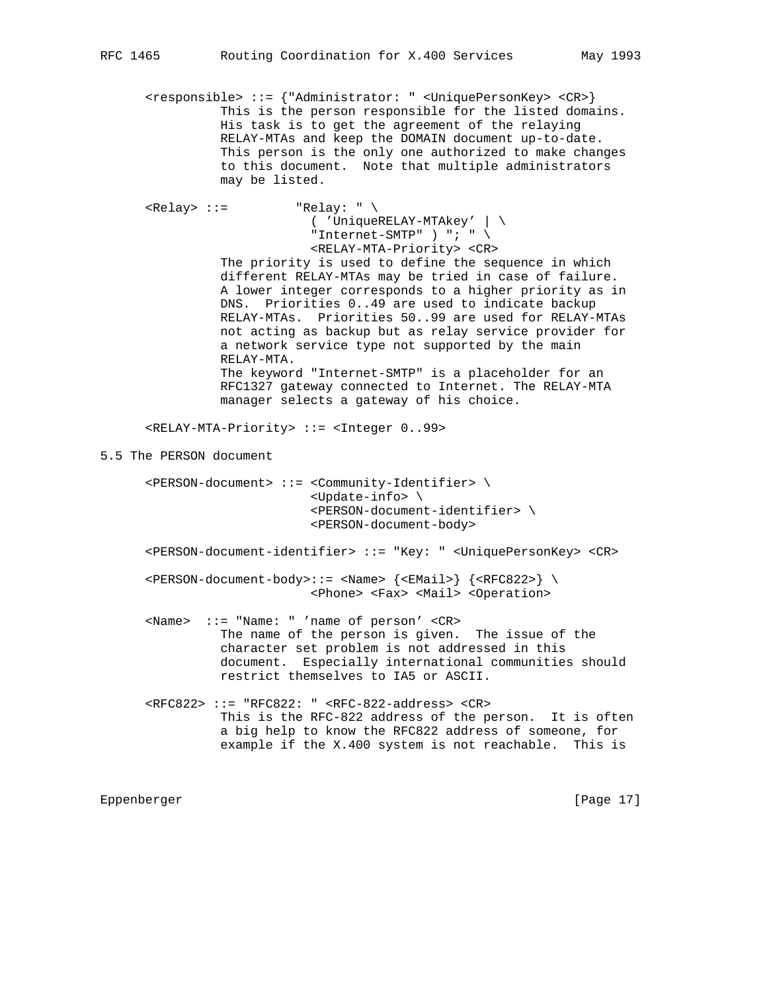<responsible> ::= {"Administrator: " <UniquePersonKey> <CR>} This is the person responsible for the listed domains. His task is to get the agreement of the relaying RELAY-MTAs and keep the DOMAIN document up-to-date. This person is the only one authorized to make changes to this document. Note that multiple administrators may be listed.

 $\langle\text{Relay}\rangle$  ::= "Relay: " \ ( 'UniqueRELAY-MTAkey' | \ "Internet-SMTP" ) "; "  $\setminus$  <RELAY-MTA-Priority> <CR> The priority is used to define the sequence in which different RELAY-MTAs may be tried in case of failure. A lower integer corresponds to a higher priority as in DNS. Priorities 0..49 are used to indicate backup RELAY-MTAs. Priorities 50..99 are used for RELAY-MTAs not acting as backup but as relay service provider for a network service type not supported by the main RELAY-MTA. The keyword "Internet-SMTP" is a placeholder for an RFC1327 gateway connected to Internet. The RELAY-MTA manager selects a gateway of his choice. <RELAY-MTA-Priority> ::= <Integer 0..99> 5.5 The PERSON document <PERSON-document> ::= <Community-Identifier> \ <Update-info> \ <PERSON-document-identifier> \ <PERSON-document-body> <PERSON-document-identifier> ::= "Key: " <UniquePersonKey> <CR> <PERSON-document-body>::= <Name> {<EMail>} {<RFC822>} \ <Phone> <Fax> <Mail> <Operation> <Name> ::= "Name: " 'name of person' <CR> The name of the person is given. The issue of the character set problem is not addressed in this document. Especially international communities should restrict themselves to IA5 or ASCII. <RFC822> ::= "RFC822: " <RFC-822-address> <CR>

 This is the RFC-822 address of the person. It is often a big help to know the RFC822 address of someone, for example if the X.400 system is not reachable. This is

Eppenberger [Page 17]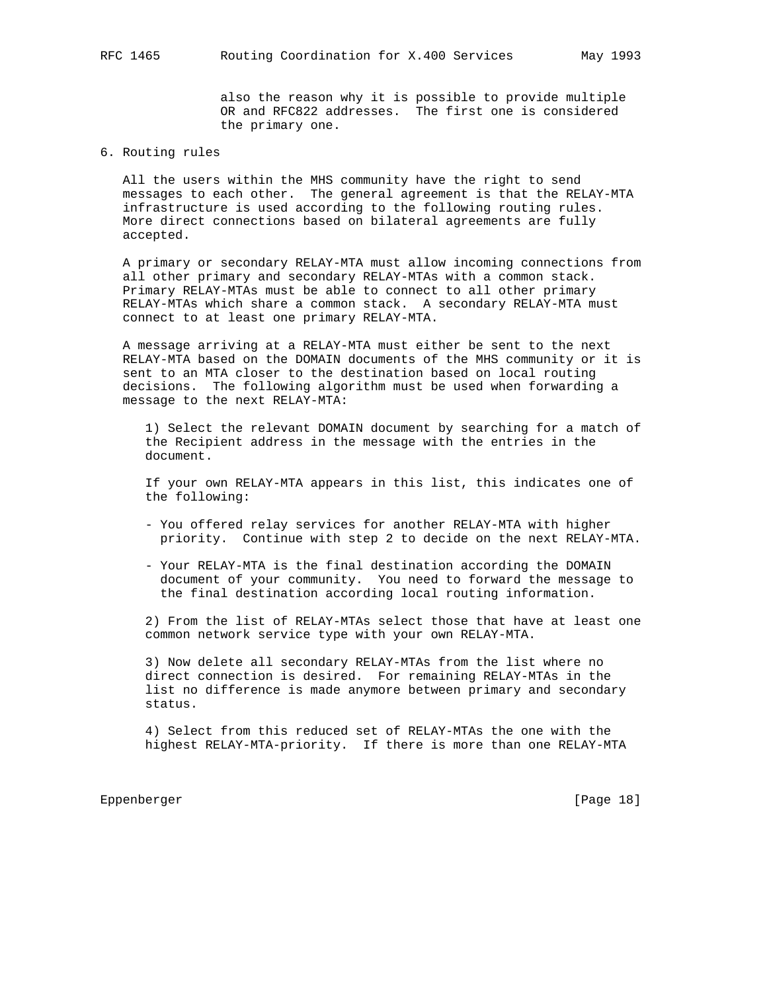also the reason why it is possible to provide multiple OR and RFC822 addresses. The first one is considered the primary one.

# 6. Routing rules

 All the users within the MHS community have the right to send messages to each other. The general agreement is that the RELAY-MTA infrastructure is used according to the following routing rules. More direct connections based on bilateral agreements are fully accepted.

 A primary or secondary RELAY-MTA must allow incoming connections from all other primary and secondary RELAY-MTAs with a common stack. Primary RELAY-MTAs must be able to connect to all other primary RELAY-MTAs which share a common stack. A secondary RELAY-MTA must connect to at least one primary RELAY-MTA.

 A message arriving at a RELAY-MTA must either be sent to the next RELAY-MTA based on the DOMAIN documents of the MHS community or it is sent to an MTA closer to the destination based on local routing decisions. The following algorithm must be used when forwarding a message to the next RELAY-MTA:

 1) Select the relevant DOMAIN document by searching for a match of the Recipient address in the message with the entries in the document.

 If your own RELAY-MTA appears in this list, this indicates one of the following:

- You offered relay services for another RELAY-MTA with higher priority. Continue with step 2 to decide on the next RELAY-MTA.
- Your RELAY-MTA is the final destination according the DOMAIN document of your community. You need to forward the message to the final destination according local routing information.

 2) From the list of RELAY-MTAs select those that have at least one common network service type with your own RELAY-MTA.

 3) Now delete all secondary RELAY-MTAs from the list where no direct connection is desired. For remaining RELAY-MTAs in the list no difference is made anymore between primary and secondary status.

 4) Select from this reduced set of RELAY-MTAs the one with the highest RELAY-MTA-priority. If there is more than one RELAY-MTA

Eppenberger [Page 18]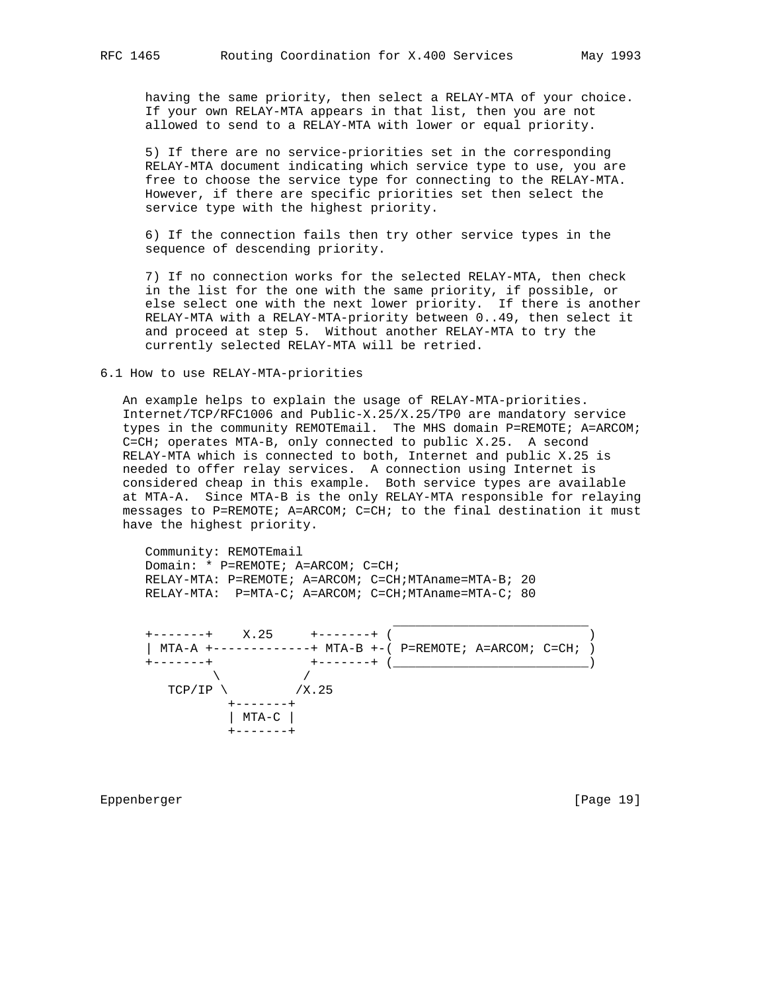having the same priority, then select a RELAY-MTA of your choice. If your own RELAY-MTA appears in that list, then you are not allowed to send to a RELAY-MTA with lower or equal priority.

 5) If there are no service-priorities set in the corresponding RELAY-MTA document indicating which service type to use, you are free to choose the service type for connecting to the RELAY-MTA. However, if there are specific priorities set then select the service type with the highest priority.

 6) If the connection fails then try other service types in the sequence of descending priority.

 7) If no connection works for the selected RELAY-MTA, then check in the list for the one with the same priority, if possible, or else select one with the next lower priority. If there is another RELAY-MTA with a RELAY-MTA-priority between 0..49, then select it and proceed at step 5. Without another RELAY-MTA to try the currently selected RELAY-MTA will be retried.

#### 6.1 How to use RELAY-MTA-priorities

 An example helps to explain the usage of RELAY-MTA-priorities. Internet/TCP/RFC1006 and Public-X.25/X.25/TP0 are mandatory service types in the community REMOTEmail. The MHS domain P=REMOTE; A=ARCOM; C=CH; operates MTA-B, only connected to public X.25. A second RELAY-MTA which is connected to both, Internet and public X.25 is needed to offer relay services. A connection using Internet is considered cheap in this example. Both service types are available at MTA-A. Since MTA-B is the only RELAY-MTA responsible for relaying messages to P=REMOTE; A=ARCOM; C=CH; to the final destination it must have the highest priority.

 Community: REMOTEmail Domain: \* P=REMOTE; A=ARCOM; C=CH; RELAY-MTA: P=REMOTE; A=ARCOM; C=CH;MTAname=MTA-B; 20 RELAY-MTA: P=MTA-C; A=ARCOM; C=CH;MTAname=MTA-C; 80

 $\overline{\phantom{a}}$  , which is a set of the set of the set of the set of the set of the set of the set of the set of the set of the set of the set of the set of the set of the set of the set of the set of the set of the set of th

 +-------+ X.25 +-------+ ( ) | MTA-A +-------------+ MTA-B +-( P=REMOTE; A=ARCOM; C=CH; ) +-------+ +-------+ (\_\_\_\_\_\_\_\_\_\_\_\_\_\_\_\_\_\_\_\_\_\_\_\_\_\_)  $\sqrt{2}$  /  $\sqrt{2}$  /  $\sqrt{2}$  /  $\sqrt{2}$  /  $\sqrt{2}$  /  $\sqrt{2}$  /  $\sqrt{2}$  /  $\sqrt{2}$  /  $\sqrt{2}$  /  $\sqrt{2}$  /  $\sqrt{2}$  /  $\sqrt{2}$  /  $\sqrt{2}$  /  $\sqrt{2}$  /  $\sqrt{2}$  /  $\sqrt{2}$  /  $\sqrt{2}$  /  $\sqrt{2}$  /  $\sqrt{2}$  /  $\sqrt{2}$  /  $\sqrt{2}$  /  $\sqrt{2}$  / TCP/IP  $\overline{X}.25$  +-------+ | MTA-C | +-------+

Eppenberger [Page 19]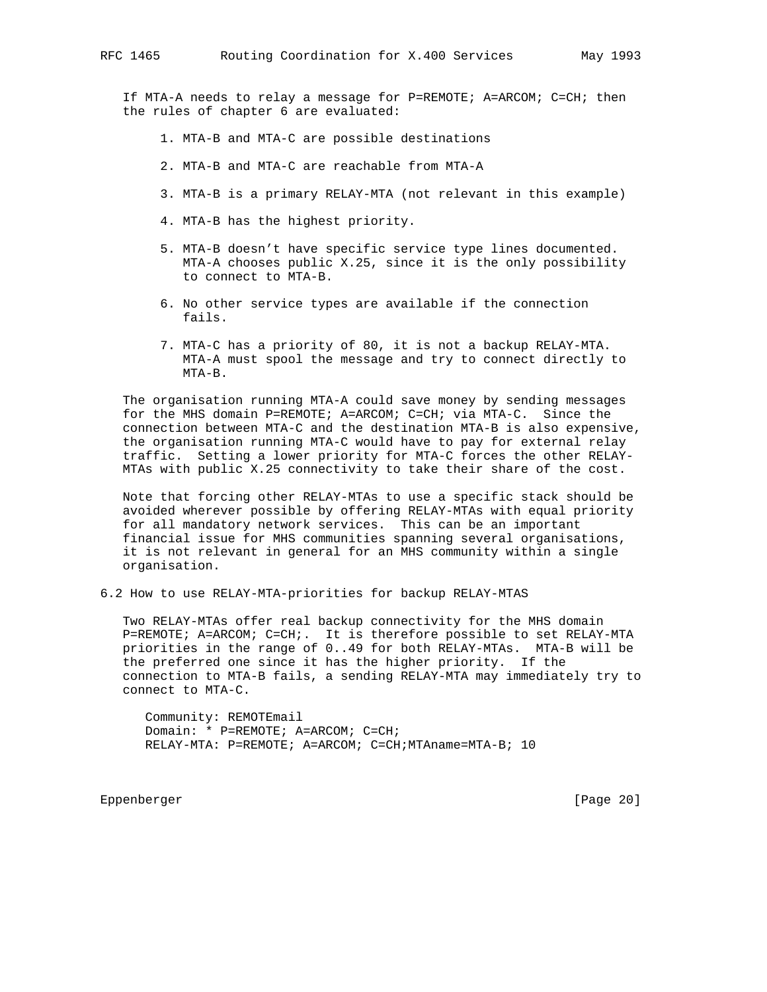If MTA-A needs to relay a message for P=REMOTE; A=ARCOM; C=CH; then the rules of chapter 6 are evaluated:

- 1. MTA-B and MTA-C are possible destinations
- 2. MTA-B and MTA-C are reachable from MTA-A
- 3. MTA-B is a primary RELAY-MTA (not relevant in this example)
- 4. MTA-B has the highest priority.
- 5. MTA-B doesn't have specific service type lines documented. MTA-A chooses public X.25, since it is the only possibility to connect to MTA-B.
- 6. No other service types are available if the connection fails.
- 7. MTA-C has a priority of 80, it is not a backup RELAY-MTA. MTA-A must spool the message and try to connect directly to MTA-B.

 The organisation running MTA-A could save money by sending messages for the MHS domain P=REMOTE; A=ARCOM; C=CH; via MTA-C. Since the connection between MTA-C and the destination MTA-B is also expensive, the organisation running MTA-C would have to pay for external relay traffic. Setting a lower priority for MTA-C forces the other RELAY- MTAs with public X.25 connectivity to take their share of the cost.

 Note that forcing other RELAY-MTAs to use a specific stack should be avoided wherever possible by offering RELAY-MTAs with equal priority for all mandatory network services. This can be an important financial issue for MHS communities spanning several organisations, it is not relevant in general for an MHS community within a single organisation.

6.2 How to use RELAY-MTA-priorities for backup RELAY-MTAS

 Two RELAY-MTAs offer real backup connectivity for the MHS domain P=REMOTE; A=ARCOM; C=CH;. It is therefore possible to set RELAY-MTA priorities in the range of 0..49 for both RELAY-MTAs. MTA-B will be the preferred one since it has the higher priority. If the connection to MTA-B fails, a sending RELAY-MTA may immediately try to connect to MTA-C.

 Community: REMOTEmail Domain: \* P=REMOTE; A=ARCOM; C=CH; RELAY-MTA: P=REMOTE; A=ARCOM; C=CH;MTAname=MTA-B; 10

Eppenberger [Page 20]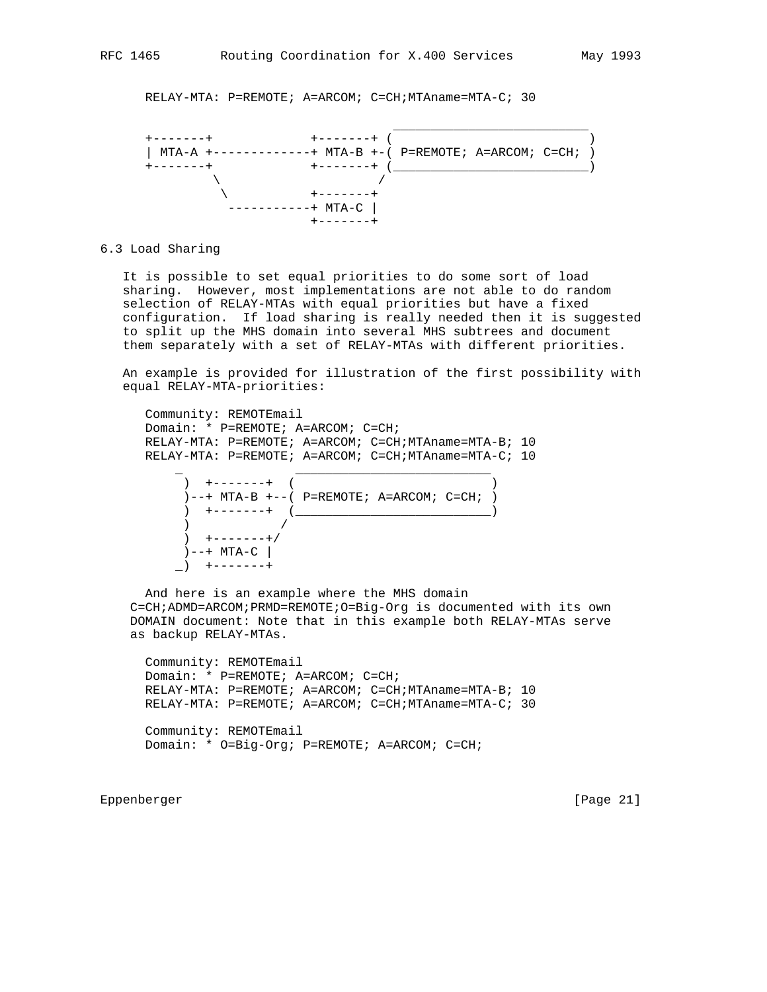RELAY-MTA: P=REMOTE; A=ARCOM; C=CH;MTAname=MTA-C; 30



### 6.3 Load Sharing

 It is possible to set equal priorities to do some sort of load sharing. However, most implementations are not able to do random selection of RELAY-MTAs with equal priorities but have a fixed configuration. If load sharing is really needed then it is suggested to split up the MHS domain into several MHS subtrees and document them separately with a set of RELAY-MTAs with different priorities.

 An example is provided for illustration of the first possibility with equal RELAY-MTA-priorities:

```
 Community: REMOTEmail
 Domain: * P=REMOTE; A=ARCOM; C=CH;
 RELAY-MTA: P=REMOTE; A=ARCOM; C=CH;MTAname=MTA-B; 10
 RELAY-MTA: P=REMOTE; A=ARCOM; C=CH;MTAname=MTA-C; 10
```
\_ \_\_\_\_\_\_\_\_\_\_\_\_\_\_\_\_\_\_\_\_\_\_\_\_\_\_

| ) +-------+                                   |  |  |  |
|-----------------------------------------------|--|--|--|
| $)$ --+ MTA-B +--( P=REMOTE; A=ARCOM; C=CH; ) |  |  |  |
| ) $+ - - - - - - +$                           |  |  |  |
|                                               |  |  |  |
| $+ - - - - - - +/$                            |  |  |  |
| )--+ MTA-C                                    |  |  |  |
| +-------+                                     |  |  |  |

 And here is an example where the MHS domain C=CH;ADMD=ARCOM;PRMD=REMOTE;O=Big-Org is documented with its own DOMAIN document: Note that in this example both RELAY-MTAs serve as backup RELAY-MTAs.

 Community: REMOTEmail Domain: \* P=REMOTE; A=ARCOM; C=CH; RELAY-MTA: P=REMOTE; A=ARCOM; C=CH;MTAname=MTA-B; 10 RELAY-MTA: P=REMOTE; A=ARCOM; C=CH;MTAname=MTA-C; 30 Community: REMOTEmail Domain: \* O=Big-Org; P=REMOTE; A=ARCOM; C=CH;

Eppenberger [Page 21]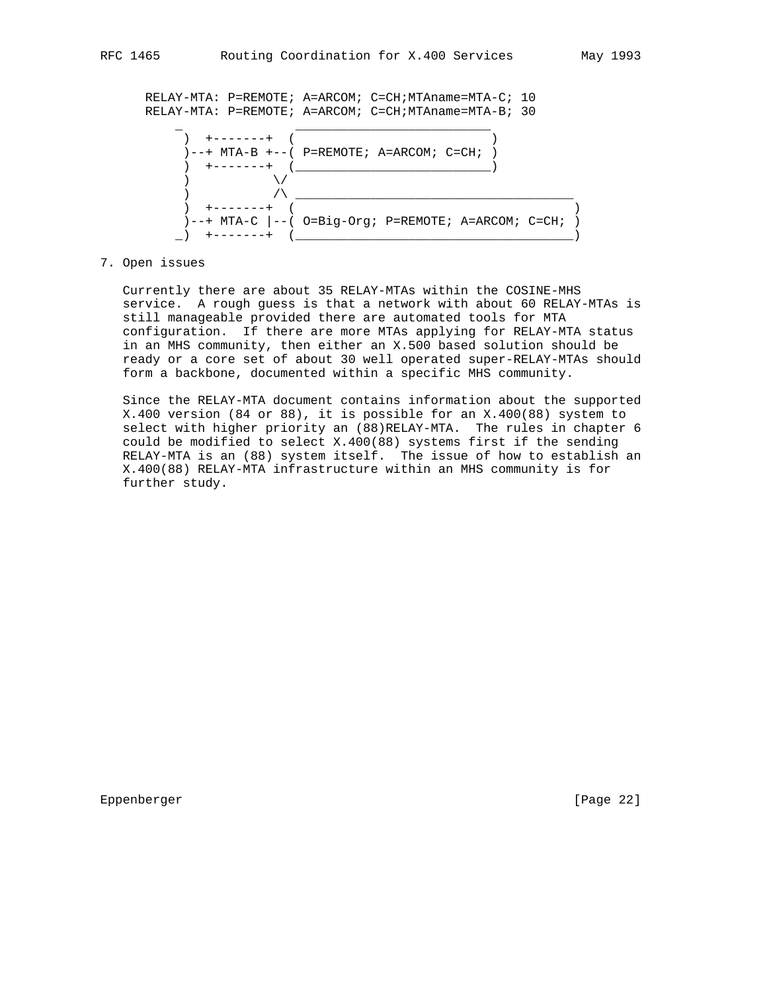

## 7. Open issues

 Currently there are about 35 RELAY-MTAs within the COSINE-MHS service. A rough guess is that a network with about 60 RELAY-MTAs is still manageable provided there are automated tools for MTA configuration. If there are more MTAs applying for RELAY-MTA status in an MHS community, then either an X.500 based solution should be ready or a core set of about 30 well operated super-RELAY-MTAs should form a backbone, documented within a specific MHS community.

 Since the RELAY-MTA document contains information about the supported X.400 version (84 or 88), it is possible for an X.400(88) system to select with higher priority an (88)RELAY-MTA. The rules in chapter 6 could be modified to select X.400(88) systems first if the sending RELAY-MTA is an (88) system itself. The issue of how to establish an X.400(88) RELAY-MTA infrastructure within an MHS community is for further study.

Eppenberger [Page 22]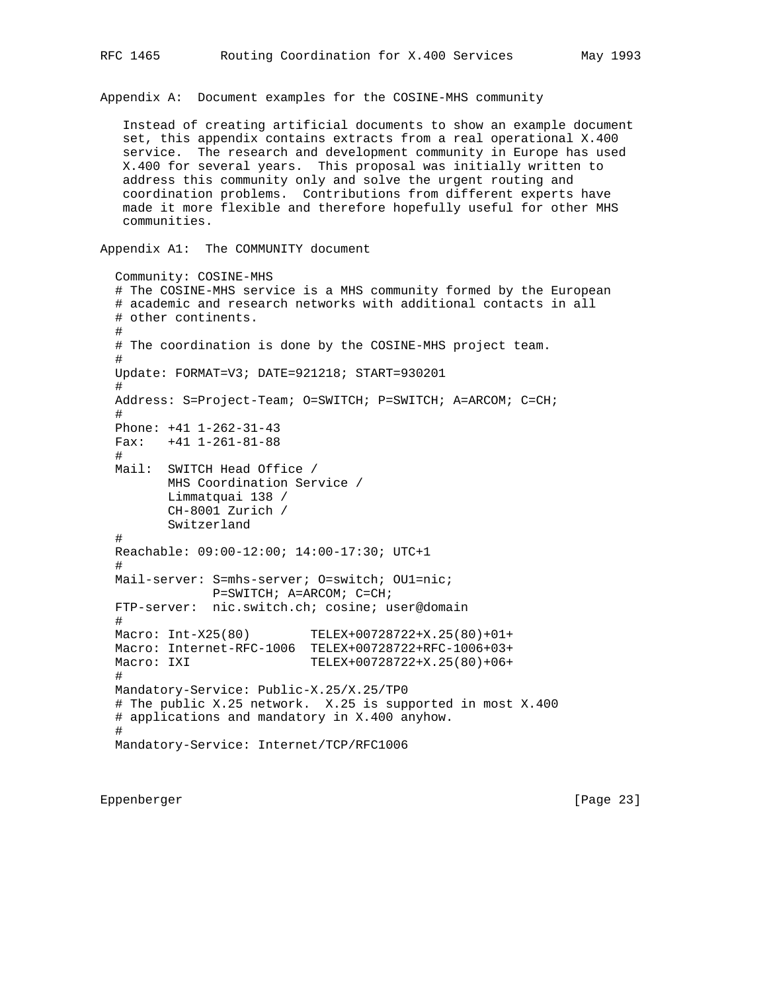Appendix A: Document examples for the COSINE-MHS community

 Instead of creating artificial documents to show an example document set, this appendix contains extracts from a real operational X.400 service. The research and development community in Europe has used X.400 for several years. This proposal was initially written to address this community only and solve the urgent routing and coordination problems. Contributions from different experts have made it more flexible and therefore hopefully useful for other MHS communities.

Appendix A1: The COMMUNITY document

 Community: COSINE-MHS # The COSINE-MHS service is a MHS community formed by the European # academic and research networks with additional contacts in all # other continents. # # The coordination is done by the COSINE-MHS project team. # Update: FORMAT=V3; DATE=921218; START=930201 # Address: S=Project-Team; O=SWITCH; P=SWITCH; A=ARCOM; C=CH; # Phone: +41 1-262-31-43 Fax: +41 1-261-81-88 # Mail: SWITCH Head Office / MHS Coordination Service / Limmatquai 138 / CH-8001 Zurich / Switzerland # Reachable: 09:00-12:00; 14:00-17:30; UTC+1 # Mail-server: S=mhs-server; O=switch; OU1=nic; P=SWITCH; A=ARCOM; C=CH; FTP-server: nic.switch.ch; cosine; user@domain # Macro: Int-X25(80) TELEX+00728722+X.25(80)+01+ Macro: Internet-RFC-1006 TELEX+00728722+RFC-1006+03+ Macro: IXI TELEX+00728722+X.25(80)+06+ # Mandatory-Service: Public-X.25/X.25/TP0 # The public X.25 network. X.25 is supported in most X.400 # applications and mandatory in X.400 anyhow. # Mandatory-Service: Internet/TCP/RFC1006

Eppenberger [Page 23]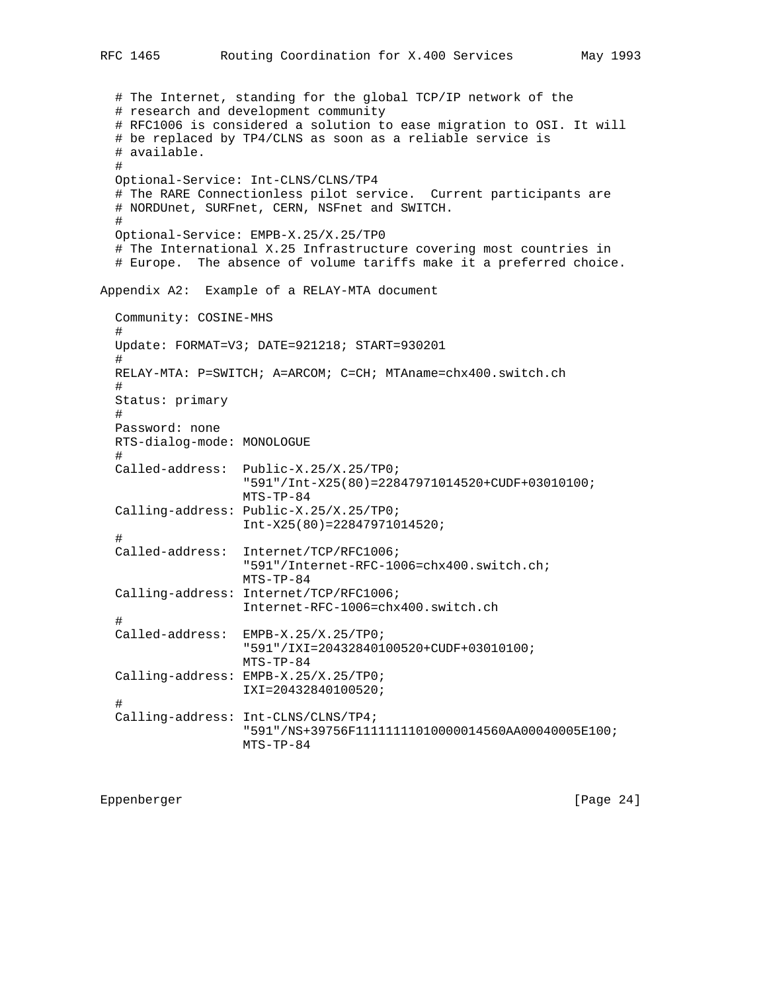RFC 1465 Routing Coordination for X.400 Services May 1993 # The Internet, standing for the global TCP/IP network of the # research and development community # RFC1006 is considered a solution to ease migration to OSI. It will # be replaced by TP4/CLNS as soon as a reliable service is # available. # Optional-Service: Int-CLNS/CLNS/TP4 # The RARE Connectionless pilot service. Current participants are # NORDUnet, SURFnet, CERN, NSFnet and SWITCH. # Optional-Service: EMPB-X.25/X.25/TP0 # The International X.25 Infrastructure covering most countries in # Europe. The absence of volume tariffs make it a preferred choice. Appendix A2: Example of a RELAY-MTA document Community: COSINE-MHS # Update: FORMAT=V3; DATE=921218; START=930201 # RELAY-MTA: P=SWITCH; A=ARCOM; C=CH; MTAname=chx400.switch.ch # Status: primary # Password: none RTS-dialog-mode: MONOLOGUE # Called-address: Public-X.25/X.25/TP0; "591"/Int-X25(80)=22847971014520+CUDF+03010100; MTS-TP-84 Calling-address: Public-X.25/X.25/TP0; Int-X25(80)=22847971014520; # Called-address: Internet/TCP/RFC1006; "591"/Internet-RFC-1006=chx400.switch.ch; MTS-TP-84 Calling-address: Internet/TCP/RFC1006; Internet-RFC-1006=chx400.switch.ch # Called-address: EMPB-X.25/X.25/TP0; "591"/IXI=20432840100520+CUDF+03010100; MTS-TP-84 Calling-address: EMPB-X.25/X.25/TP0; IXI=20432840100520;

#

 Calling-address: Int-CLNS/CLNS/TP4; "591"/NS+39756F11111111010000014560AA00040005E100; MTS-TP-84

Eppenberger [Page 24]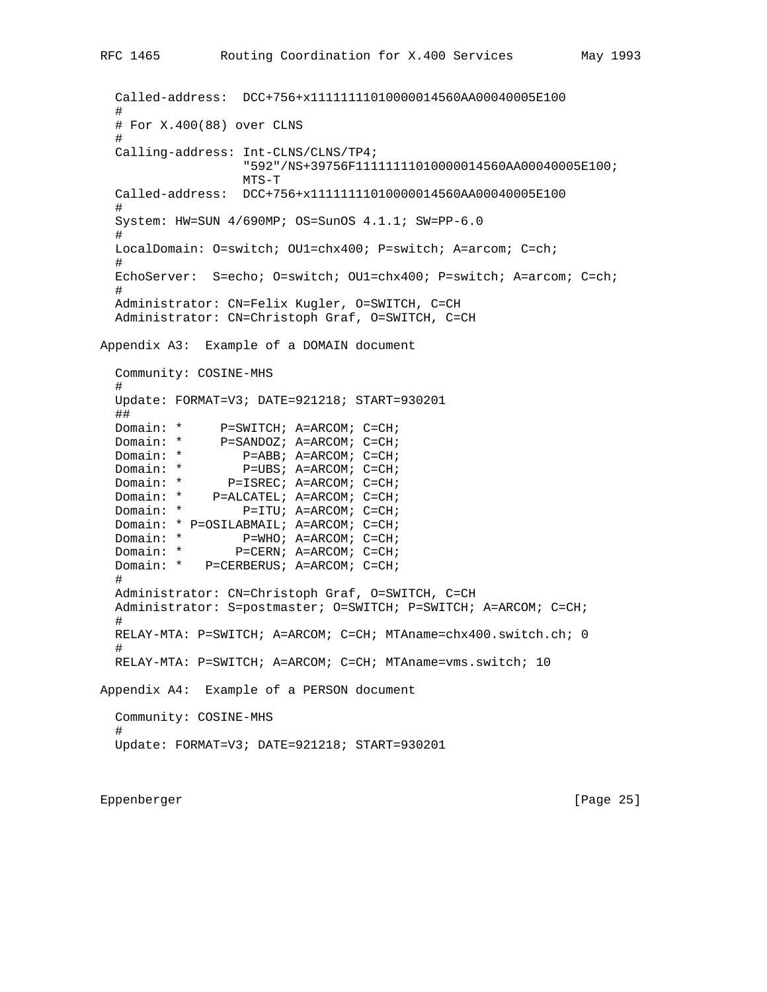```
 Called-address: DCC+756+x11111111010000014560AA00040005E100
 #
   # For X.400(88) over CLNS
   #
   Calling-address: Int-CLNS/CLNS/TP4;
                      "592"/NS+39756F11111111010000014560AA00040005E100;
                      MTS-T
   Called-address: DCC+756+x11111111010000014560AA00040005E100
 #
   System: HW=SUN 4/690MP; OS=SunOS 4.1.1; SW=PP-6.0
   #
  LocalDomain: O=switch; OU1=chx400; P=switch; A=arcom; C=ch;
 #
   EchoServer: S=echo; O=switch; OU1=chx400; P=switch; A=arcom; C=ch;
 #
   Administrator: CN=Felix Kugler, O=SWITCH, C=CH
   Administrator: CN=Christoph Graf, O=SWITCH, C=CH
Appendix A3: Example of a DOMAIN document
   Community: COSINE-MHS
 #
   Update: FORMAT=V3; DATE=921218; START=930201
   ##
Domain: * P=SWITCH; A=ARCOM; C=CH;
Domain: * P=SANDOZ; A=ARCOM; C=CH;
  Domain: * P=ABB; A=ARCOM; C=CH;<br>Domain: * P=UBS; A=ARCOM; C=CH;
  Domain: * P=UBS; A=ARCOM; C=CH;<br>Domain: * P=ISREC; A=ARCOM; C=CH;
  Domain: * P=ISREC; A=ARCOM; C=CH;<br>Domain: * P=ALCATEL; A=ARCOM; C=CH;
  Domain: * P=ALCATEL; A=ARCOM; C=CH;<br>Domain: * P=ITU; A=ARCOM; C=CH;
                    P=ITU; A=ARCOM; C=CH;
  Domain: * P=OSILABMAIL; A=ARCOM; C=CH;<br>Domain: * P=WHO; A=ARCOM; C=CH;
  Domain: * P=WHO; A=ARCOM; C=CH;<br>Domain: * P=CERN; A=ARCOM; C=CH;
                   P=CERN; A=ARCOM; C=CH;
   Domain: * P=CERBERUS; A=ARCOM; C=CH;
 #
   Administrator: CN=Christoph Graf, O=SWITCH, C=CH
   Administrator: S=postmaster; O=SWITCH; P=SWITCH; A=ARCOM; C=CH;
 #
   RELAY-MTA: P=SWITCH; A=ARCOM; C=CH; MTAname=chx400.switch.ch; 0
   #
   RELAY-MTA: P=SWITCH; A=ARCOM; C=CH; MTAname=vms.switch; 10
Appendix A4: Example of a PERSON document
   Community: COSINE-MHS
 #
   Update: FORMAT=V3; DATE=921218; START=930201
```
Eppenberger [Page 25]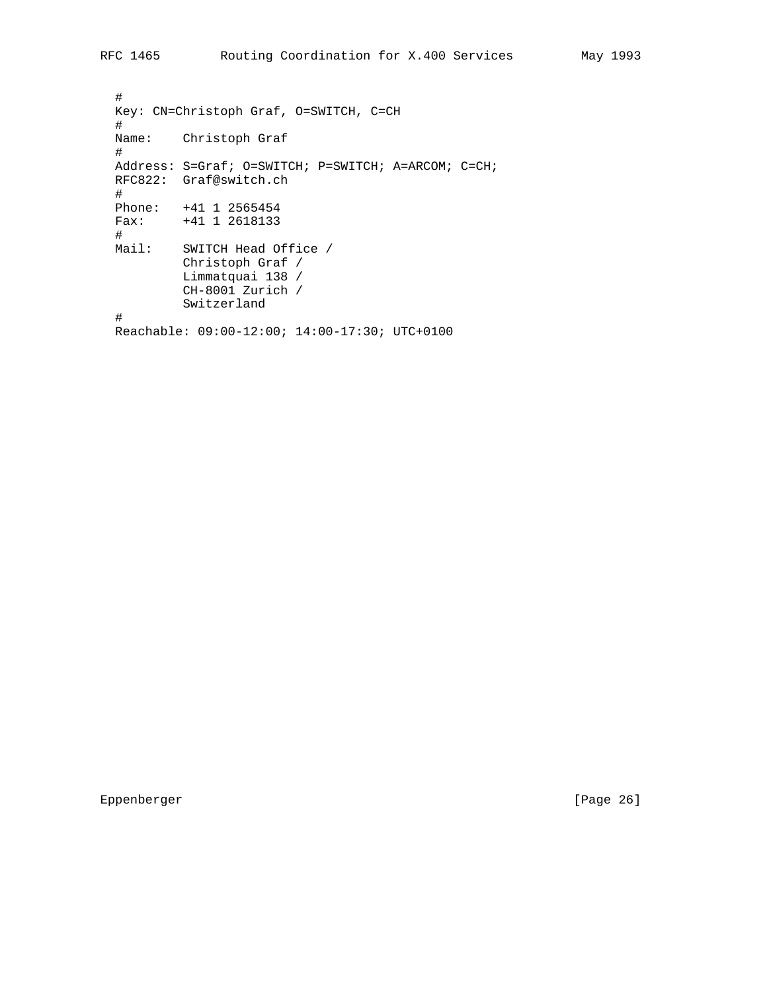# Key: CN=Christoph Graf, O=SWITCH, C=CH # Name: Christoph Graf # Address: S=Graf; O=SWITCH; P=SWITCH; A=ARCOM; C=CH; RFC822: Graf@switch.ch # Phone: +41 1 2565454 Fax: +41 1 2618133 # Mail: SWITCH Head Office / Christoph Graf / Limmatquai 138 / CH-8001 Zurich / Switzerland # Reachable: 09:00-12:00; 14:00-17:30; UTC+0100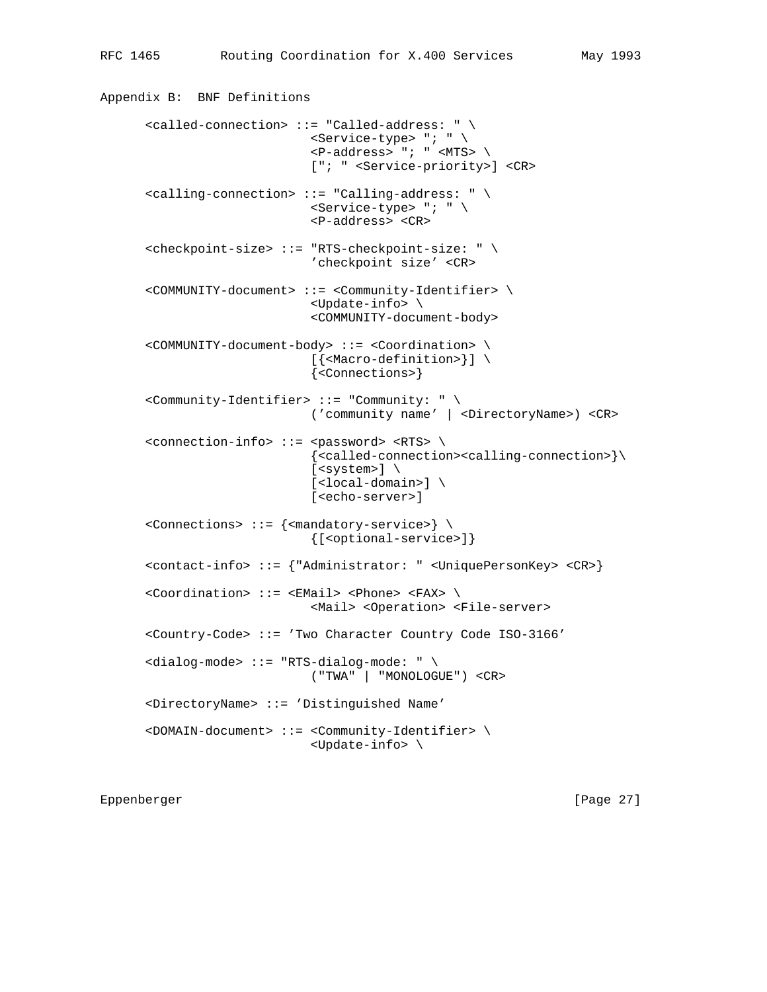Appendix B: BNF Definitions

```
 <called-connection> ::= "Called-address: " \
                        <Service-type> "; " \
                       \langle P\text{-address} \rangle "; " \langle \text{MTS} \rangle ["; " <Service-priority>] <CR>
 <calling-connection> ::= "Calling-address: " \
                        <Service-type> "; " \
                        <P-address> <CR>
 <checkpoint-size> ::= "RTS-checkpoint-size: " \
                        'checkpoint size' <CR>
 <COMMUNITY-document> ::= <Community-Identifier> \
                        <Update-info> \
                        <COMMUNITY-document-body>
 <COMMUNITY-document-body> ::= <Coordination> \
                        [{<Macro-definition>}] \
                        {<Connections>}
 <Community-Identifier> ::= "Community: " \
                        ('community name' | <DirectoryName>) <CR>
 <connection-info> ::= <password> <RTS> \
                         {<called-connection><calling-connection>}\
                       [<system>] \
                        [<local-domain>] \
                        [<echo-server>]
 <Connections> ::= {<mandatory-service>} \
                        {[<optional-service>]}
 <contact-info> ::= {"Administrator: " <UniquePersonKey> <CR>}
 <Coordination> ::= <EMail> <Phone> <FAX> \
                        <Mail> <Operation> <File-server>
 <Country-Code> ::= 'Two Character Country Code ISO-3166'
 <dialog-mode> ::= "RTS-dialog-mode: " \
                        ("TWA" | "MONOLOGUE") <CR>
 <DirectoryName> ::= 'Distinguished Name'
 <DOMAIN-document> ::= <Community-Identifier> \
                        <Update-info> \
```
Eppenberger [Page 27]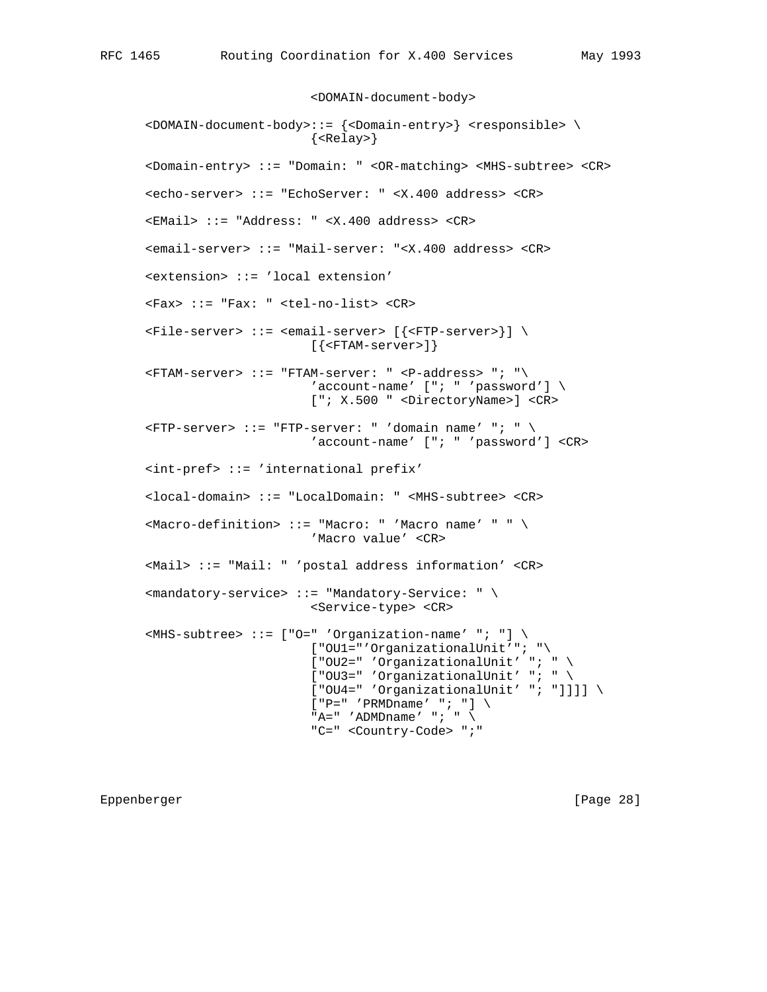<DOMAIN-document-body>

 <DOMAIN-document-body>::= {<Domain-entry>} <responsible> \ {<Relay>} <Domain-entry> ::= "Domain: " <OR-matching> <MHS-subtree> <CR> <echo-server> ::= "EchoServer: " <X.400 address> <CR> <EMail> ::= "Address: " <X.400 address> <CR> <email-server> ::= "Mail-server: "<X.400 address> <CR> <extension> ::= 'local extension' <Fax> ::= "Fax: " <tel-no-list> <CR> <File-server> ::= <email-server> [{<FTP-server>}] \ [{<FTAM-server>]}  $\langle$ FTAM-server> ::= "FTAM-server: "  $\langle$ P-address> "; " $\rangle$ 'account-name'  $[$  "; " 'password']  $\setminus$  ["; X.500 " <DirectoryName>] <CR>  $\langle$ FTP-server> ::= "FTP-server: " 'domain name' "; " \ 'account-name' ["; " 'password'] <CR> <int-pref> ::= 'international prefix' <local-domain> ::= "LocalDomain: " <MHS-subtree> <CR> <Macro-definition> ::= "Macro: " 'Macro name' " " \ 'Macro value' <CR> <Mail> ::= "Mail: " 'postal address information' <CR> <mandatory-service> ::= "Mandatory-Service: " \ <Service-type> <CR>  $\langle$ MHS-subtree> ::= ["O=" 'Organization-name' "; "] \ ["OU1="'OrganizationalUnit'"; "\ ["OU2=" 'OrganizationalUnit' "; " \ ["OU3=" 'OrganizationalUnit' "; " \ ["OU4=" 'OrganizationalUnit' "; "]]]] \  $['P=' 'PRMDname' ''; ']\ \$ "A=" 'ADMDname' "; "  $\setminus$ "C=" <Country-Code> ";"

Eppenberger [Page 28]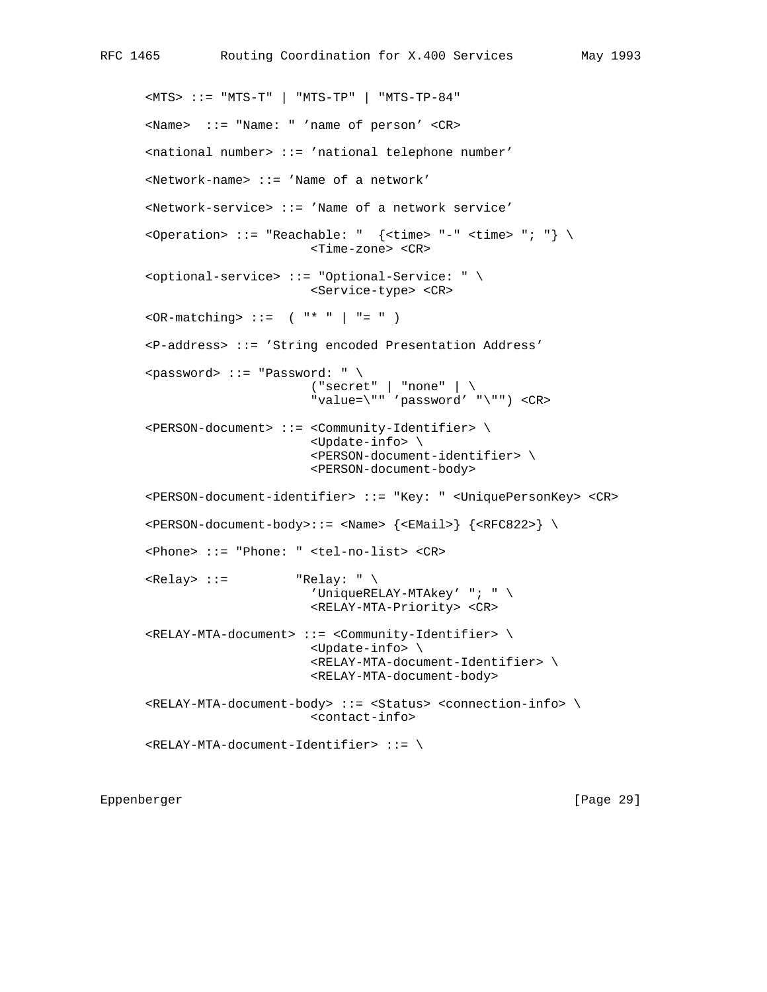```
 <MTS> ::= "MTS-T" | "MTS-TP" | "MTS-TP-84"
 <Name> ::= "Name: " 'name of person' <CR>
 <national number> ::= 'national telephone number'
 <Network-name> ::= 'Name of a network'
 <Network-service> ::= 'Name of a network service'
<Operation> ::= "Reachable: " \{ \text{times} = "-- \text{times} " : " \} \ <Time-zone> <CR>
 <optional-service> ::= "Optional-Service: " \
                             <Service-type> <CR>
\langleOR-matching> ::= ( "* " | "= " )
 <P-address> ::= 'String encoded Presentation Address'
 <password> ::= "Password: " \
                            ( "secret" | "none" | \ \ \ "value=\"" 'password' "\"") <CR>
 <PERSON-document> ::= <Community-Identifier> \
                              <Update-info> \
                              <PERSON-document-identifier> \
                             <PERSON-document-body>
 <PERSON-document-identifier> ::= "Key: " <UniquePersonKey> <CR>
\langlePERSON-document-body>::= \langleName> \langle \rangle \langle \rangle \langle \rangle \langle \rangle \langle \rangle \langle \rangle \langle \rangle \langle \rangle \langle \rangle \langle \rangle \langle \rangle \langle \rangle \langle \rangle \langle \rangle \rangle \langle \rangle \langle \rangle \rangle \langle \rangle \ <Phone> ::= "Phone: " <tel-no-list> <CR>
\langle\text{Relay}\rangle ::= "Relay: " \
                             'UniqueRELAY-MTAkey' "; " \
                             <RELAY-MTA-Priority> <CR>
 <RELAY-MTA-document> ::= <Community-Identifier> \
                             <Update-info> \
                              <RELAY-MTA-document-Identifier> \
                             <RELAY-MTA-document-body>
 <RELAY-MTA-document-body> ::= <Status> <connection-info> \
                             <contact-info>
 <RELAY-MTA-document-Identifier> ::= \
```
Eppenberger [Page 29]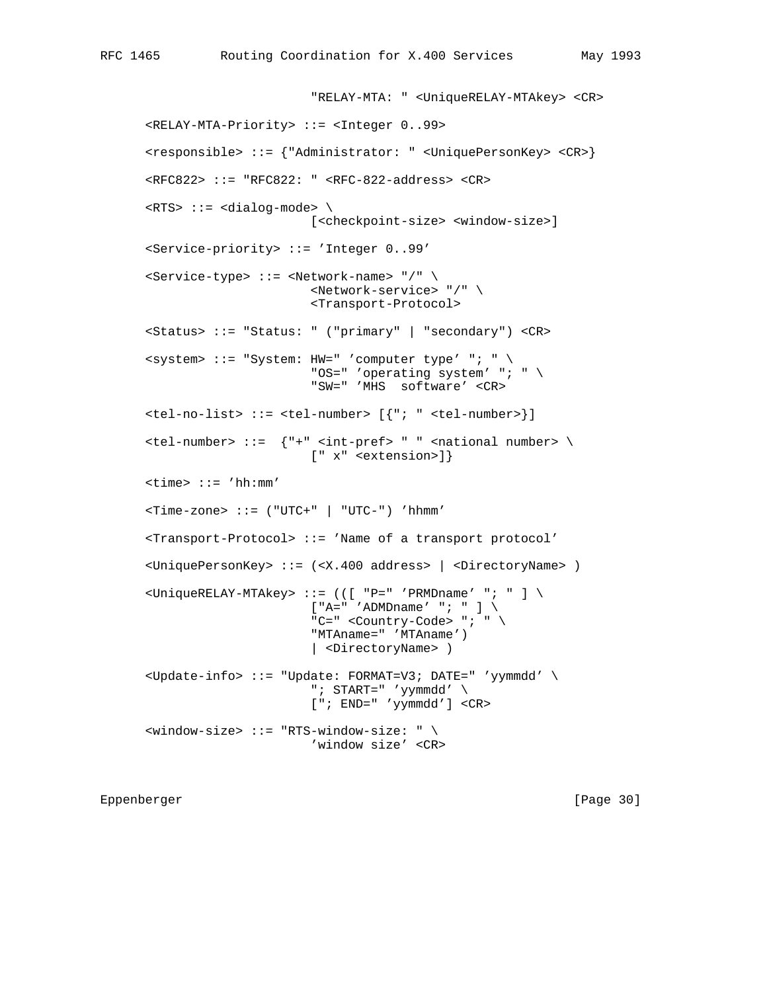```
 "RELAY-MTA: " <UniqueRELAY-MTAkey> <CR>
 <RELAY-MTA-Priority> ::= <Integer 0..99>
 <responsible> ::= {"Administrator: " <UniquePersonKey> <CR>}
 <RFC822> ::= "RFC822: " <RFC-822-address> <CR>
\langle \text{RTS} \rangle ::= \langle \text{dialog-mode} \rangle [<checkpoint-size> <window-size>]
 <Service-priority> ::= 'Integer 0..99'
 <Service-type> ::= <Network-name> "/" \
                         <Network-service> "/" \
                         <Transport-Protocol>
 <Status> ::= "Status: " ("primary" | "secondary") <CR>
\langle system> ::= "System: HW=" 'computer type' "; " \
                         "OS=" 'operating system' "; " \
                         "SW=" 'MHS software' <CR>
 <tel-no-list> ::= <tel-number> [{"; " <tel-number>}]
\text{tel-number} ::= \{ "+" <int-pref> " " <national number> \
                         [" x" <extension>]}
 <time> ::= 'hh:mm'
 <Time-zone> ::= ("UTC+" | "UTC-") 'hhmm'
 <Transport-Protocol> ::= 'Name of a transport protocol'
 <UniquePersonKey> ::= (<X.400 address> | <DirectoryName> )
\langleUniqueRELAY-MTAkey> ::= (([ "P=" 'PRMDname' "; " ] \
                        [''A=' 'ADMD name' ' ' ; ' ' ] \ \ "C=" <Country-Code> "; " \
                         "MTAname=" 'MTAname')
                         | <DirectoryName> )
 <Update-info> ::= "Update: FORMAT=V3; DATE=" 'yymmdd' \
                        "; START=" 'yymmdd' \
                         ["; END=" 'yymmdd'] <CR>
\langlewindow-size> ::= "RTS-window-size: " \setminus 'window size' <CR>
```
Eppenberger [Page 30]